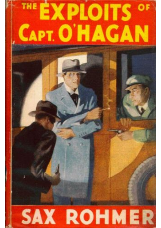# **SAX ROHMER**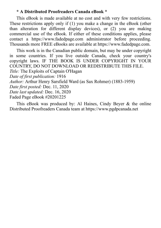### **\* A Distributed Proofreaders Canada eBook \***

This eBook is made available at no cost and with very few restrictions. These restrictions apply only if (1) you make a change in the eBook (other than alteration for different display devices), or (2) you are making commercial use of the eBook. If either of these conditions applies, please contact a https://www.fadedpage.com administrator before proceeding. Thousands more FREE eBooks are available at https://www.fadedpage.com.

This work is in the Canadian public domain, but may be under copyright in some countries. If you live outside Canada, check your country's copyright laws. IF THE BOOK IS UNDER COPYRIGHT IN YOUR COUNTRY, DO NOT DOWNLOAD OR REDISTRIBUTE THIS FILE. *Title:* The Exploits of Captain O'Hagan *Date of first publication:* 1916 *Author:* Arthur Henry Sarsfield Ward (as Sax Rohmer) (1883-1959) *Date first posted:* Dec. 11, 2020 *Date last updated:* Dec. 16, 2020 Faded Page eBook #20201225

This eBook was produced by: Al Haines, Cindy Beyer & the online Distributed Proofreaders Canada team at https://www.pgdpcanada.net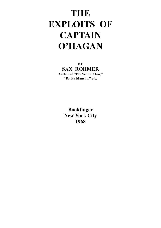# **THE EXPLOITS OF CAPTAIN O'HAGAN**

**BY SAX ROHMER Author of "The Yellow Claw," "Dr. Fu Manchu," etc.**

> **Bookfinger New York City 1968**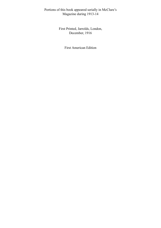Portions of this book appeared serially in McClure's Magazine during 1913-14

> First Printed, Jarrolds, London, December, 1916

> > First American Edition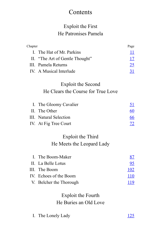# Contents

# Exploit the First He Patronises Pamela

| Chapter                   |                                    | Page                      |  |  |
|---------------------------|------------------------------------|---------------------------|--|--|
|                           | I. The Hat of Mr. Parkins          | $\mathbf{\underline{11}}$ |  |  |
|                           | II. "The Art of Gentle Thought"    | 17                        |  |  |
|                           | III. Pamela Returns                | 25                        |  |  |
|                           | IV. A Musical Interlude            | 31                        |  |  |
|                           | Exploit the Second                 |                           |  |  |
|                           | He Clears the Course for True Love |                           |  |  |
|                           | I. The Gloomy Cavalier             | <u>51</u>                 |  |  |
| II.                       | The Other                          | 60                        |  |  |
|                           | <b>III.</b> Natural Selection      | 66                        |  |  |
|                           | IV. At Fig Tree Court              | $\overline{12}$           |  |  |
|                           | Exploit the Third                  |                           |  |  |
| He Meets the Leopard Lady |                                    |                           |  |  |
|                           | I. The Boom-Maker                  | <u>87</u>                 |  |  |
| H.                        | La Belle Lotus                     | 95                        |  |  |
|                           | III. The Boom                      | <u>102</u>                |  |  |
|                           | IV. Echoes of the Boom             | <u>110</u>                |  |  |
|                           | V. Belcher the Thorough            | <u>119</u>                |  |  |
|                           | Exploit the Fourth                 |                           |  |  |
|                           | He Buries an Old Love              |                           |  |  |
|                           |                                    |                           |  |  |

I. The Lonely Lady [125](#page-60-0)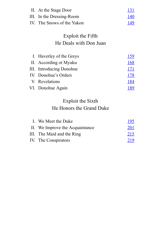| II. At the Stage Door      | <u> 131</u> |
|----------------------------|-------------|
| III. In the Dressing-Room  | <u> 140</u> |
| IV. The Snows of the Yukon | 149         |

# Exploit the Fifth He Deals with Don Juan

| I. Haverley of the Greys | 159        |
|--------------------------|------------|
| II. According ot Myuku   | <u>168</u> |
| III. Introducing Donohue | 171        |
| IV. Donohue's Orders     | 178        |
| V. Revelations           | <u>184</u> |
| VI. Donohue Again        | 189        |

# Exploit the Sixth He Honors the Grand Duke

| I. We Meet the Duke             | 195        |
|---------------------------------|------------|
| II. We Improve the Acquaintance | <u>201</u> |
| III. The Maid and the Ring      | 215        |
| IV. The Conspirators            | 219        |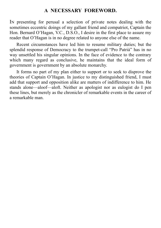# **A NECESSARY FOREWORD.**

IN presenting for perusal a selection of private notes dealing with the sometimes eccentric doings of my gallant friend and compatriot, Captain the Hon. Bernard O'Hagan, V.C., D.S.O., I desire in the first place to assure my reader that O'Hagan is in no degree related to anyone else of the name.

Recent circumstances have led him to resume military duties; but the splendid response of Democracy to the trumpet-call "Pro Patrià" has in no way unsettled his singular opinions. In the face of evidence to the contrary which many regard as conclusive, he maintains that the ideal form of government is government by an absolute monarchy.

It forms no part of my plan either to support or to seek to disprove the theories of Captain O'Hagan. In justice to my distinguished friend, I must add that support and opposition alike are matters of indifference to him. He stands alone—aloof—aloft. Neither as apologist nor as eulogist do I pen these lines, but merely as the chronicler of remarkable events in the career of a remarkable man.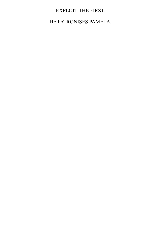# EXPLOIT THE FIRST.

HE PATRONISES PAMELA.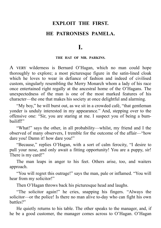# **EXPLOIT THE FIRST. HE PATRONISES PAMELA.**

**I.**

#### **THE HAT OF MR. PARKINS.**

<span id="page-8-0"></span>A VERY wilderness is Bernard O'Hagan, which no man could hope thoroughly to explore; a most picturesque figure in the satin-lined cloak which he loves to wear in defiance of fashion and indeed of civilised custom, singularly resembling the Merry Monarch whom a lady of his race once entertained right regally at the ancestral home of the O'Hagans. The unexpectedness of the man is one of the most marked features of his character—the one that makes his society at once delightful and alarming.

"My boy," he will burst out, as we sit in a crowded café, "that gentleman yonder is unduly interested in my appearance." And, stepping over to the offensive one: "Sir, you are staring at me. I suspect you of being a bumbailiff!"

"What!" says the other, in all probability—whilst, my friend and I the observed of many observers, I tremble for the outcome of the affair—"how dare you! Damn it! how dare you!"

"Because," replies O'Hagan, with a sort of calm ferocity, "I desire to pull your nose, and only await a fitting opportunity! You are a puppy, sir! There is my card!"

The man leaps in anger to his feet. Others arise, too, and waiters approach.

"You will regret this outrage!" says the man, pale or inflamed. "You will hear from my solicitor!"

Then O'Hagan throws back his picturesque head and laughs.

"The solicitor again!" he cries, snapping his fingers. "Always the solicitor—or the police! Is there no man alive to-day who can fight his own battles?"

He quietly returns to his table. The other speaks to the manager, and, if he be a good customer, the manager comes across to O'Hagan. O'Hagan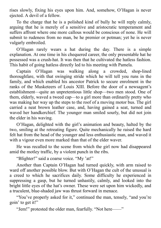rises slowly, fixing his eyes upon him. And, somehow, O'Hagan is never ejected. A devil of a fellow.

To the charge that he is a polished kind of bully he will reply calmly, arguing that he is merely of a sensitive and aristocratic temperament and suffers affront where one more callous would be conscious of none. He will submit to rudeness from no man, be he premier or potman; yet he is never vulgarly embroiled.

O'Hagan rarely wears a hat during the day. There is a simple explanation. At one time in his chequered career, the only presentable hat he possessed was a crush-hat. It was then that he cultivated the hatless fashion. This habit of going hatless directly led to his meeting with Pamela.

Captain O'Hagan was walking along a crowded, shop-lined thoroughfare, with that swinging stride which he will tell you runs in the family, and which enabled his ancestor Patrick to secure enrolment in the ranks of the Musketeers of Louis XIII. Before the door of a newsagent's establishment—quite an unpretentious little shop—two men stood. One of them, elderly, waved a tweed cap—to a girl more than ordinarily pretty who was making her way up the steps to the roof of a moving motor bus. The girl carried a neat brown leather case, and, having gained a seat, turned and waved her handkerchief. The younger man smiled sourly, but did not join the elder in his waving.

O'Hagan, delighted with the girl's animation and beauty, halted by the two, smiling at the retreating figure. Quite mechanically he raised the hard felt hat from the head of the younger and less enthusiastic man, and waved it with a vigour even more marked than that of the elder waver.

He was recalled to the scene from which the girl now had disappeared amid the motley traffic, by a violent punch in the ribs.

"Blighter!" said a coarse voice. "My 'at!"

Another than Captain O'Hagan had turned quickly, with arm raised to ward off another possible blow. But with O'Hagan the cult of the unusual is a creed to which he sacrifices daily. Some difficulty he experienced in suppressing a gasp, but he turned unhastily, calmly, and looked into the bright little eyes of the hat's owner. These were set upon him wickedly, and a truculent, blue-shaded jaw was thrust forward in menace.

"You've properly asked for it," continued the man, tensely, "and you're goin' to get it!"

"Jem!" protested the older man, fearfully. "Not here——"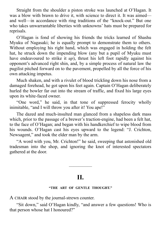Straight from the shoulder a piston stroke was launched at O'Hagan. It was a blow with brawn to drive it, with science to direct it. It was aimed and well—in accordance with ring traditions of the "knock-out." But one who takes unwarrantable liberties with unknowns' hats must be prepared for reprisals.

O'Hagan is fond of showing his friends the tricks learned of Shashu Myuku of Nagasaki; he is equally prompt to demonstrate them to others. Without employing his right hand, which was engaged in holding the felt hat, he struck down the impending blow (any but a pupil of Myuku must have endeavoured to strike it *up*), thrust his left foot rapidly against his opponent's advanced right shin, and, by a simple process of natural law the pugilist pitched forward on to the pavement, propelled by all the force of his own attacking impetus.

Much shaken, and with a rivulet of blood trickling down his nose from a damaged forehead, he got upon his feet again. Captain O'Hagan deliberately hurled the bowler far out into the stream of traffic, and fixed his large eyes upon its white-faced owner.

"One word," he said, in that tone of suppressed ferocity wholly inimitable, "and I will throw you after it! You ape!"

The dazed and much-insulted man glanced from a shapeless dark mass which, prior to the passage of a brewer's traction-engine, had been a felt hat, to the face of O'Hagan; and began with his handkerchief to wipe blood from his wounds. O'Hagan cast his eyes upward to the legend: "J. Crichton, Newsagent," and took the elder man by the arm.

"A word with you, Mr. Crichton!" he said, sweeping that astonished old tradesman into the shop, and ignoring the knot of interested spectators gathered at the door.

# **II.**

—————

#### **"THE ART OF GENTLE THOUGHT."**

<span id="page-10-0"></span>A CHAIR stood by the journal-strewn counter.

"Sit down," said O'Hagan kindly, "and answer a few questions! Who is that person whose hat I honoured?"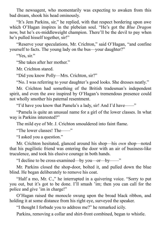The newsagent, who momentarily was expecting to awaken from this bad dream, shook his head ominously.

"It's Jem Parkins, sir," he replied, with that respect bordering upon awe which O'Hagan inspires in the plebeian soul. "He's got the *Blue Dragon* now, but he's ex-middleweight champion. There'll be the devil to pay when he's pulled hisself together, sir!"

"Reserve your speculations, Mr. Crichton," said O'Hagan, "and confine yourself to facts. The young lady on the bus—your daughter?"

"Yes, sir."

"She takes after her mother."

Mr. Crichton stared.

"Did you know Polly—Mrs. Crichton, sir?"

"No. I was referring to your daughter's good looks. She dresses neatly."

Mr. Crichton had something of the British tradesman's independent spirit, and even the awe inspired by O'Hagan's tremendous presence could not wholly smother his paternal resentment.

"I'd have you know that Pamela's a lady, sir! And I'd have——"

"Pamela is quite an unusual name for a girl of the lower classes. In what way is Parkins interested?"

The mild eye of Mr. J. Crichton smouldered into faint flame.

"The lower classes! The——"

"I asked you a question."

Mr. Crichton hesitated, glanced around his shop—his *own* shop—noted that his pugilistic friend was entering the door with an air of business-like truculence, and took his elusive courage in both hands.

"I decline to be cross-examined—by you—or—by——"

Mr. Parkins closed the shop-door, bolted it, and pulled down the blue blind. He began deliberately to remove his coat.

"Half a mo, Mr. C.," he interrupted in a quivering voice. "Sorry to put you out, but it's got to be done. I'll smash 'im; then you can call for the police and give 'im in charge!"

O'Hagan raised the monocle swung upon the broad black ribbon, and holding it at some distance from his right eye, surveyed the speaker.

"I thought I forbade you to address me?" he remarked icily.

Parkins, removing a collar and shirt-front combined, began to whistle.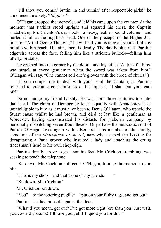"I'll show you comin' buttin' in and runnin' after respectable girls!" he announced hoarsely. "*Blighter!*"

O'Hagan dropped the monocle and laid his cane upon the counter. At the moment that Parkins stood upright and squared his chest, the Captain snatched up Mr. Crichton's day-book—a heavy, leather-bound volume—and hurled it full at the pugilist's head. One of the precepts of the Higher Jiujitsu, or "Art of Gentle Thought," he will tell you, is to avail yourself of any missile within reach. His aim, then, is deadly. The day-book struck Parkins edgewise across the face, felling him like a stricken bullock—felling him utterly, brutally.

He crashed into the corner by the door—and lay still. ("A dreadful blow was struck at every gentleman when the sword was taken from him," O'Hagan will say. "One cannot soil one's gloves with the blood of churls.")

"If you compel me to deal with you," said the Captain, as Parkins returned to groaning consciousness of his injuries, "I shall cut your ears off!"

Do not judge my friend harshly. He was born three centuries too late, that is all. The claim of Democracy to an equality with Aristocracy is as unintelligible to him as it must have been to Denis O'Hagan, who upheld the Stuart cause whilst he had breath, and died at last like a gentleman at Worcester, having demonstrated his distaste for plebeian company by personally dispatching seven Roundheads. Or perhaps the autocratic soul of Patrick O'Hagan lives again within Bernard. This member of the family, sometime of the *Mousquetaires du roi*, narrowly escaped the Bastille for decapitating a Paris grocer who insulted a lady and attaching the erring tradesman's head to his own shop-sign.

Parkins dizzily strove to get upon his feet. Mr. Crichton, trembling, was seeking to reach the telephone.

"Sit down, Mr. Crichton," directed O'Hagan, turning the monocle upon him.

"This is my shop—and that's one o' my friends——"

"Sit down, Mr. Crichton."

Mr. Crichton sat down.

"You"—to the tottering pugilist—"put on your filthy rags, and get out."

Parkins steadied himself against the door.

"What d'you mean, get out? I've got more right 'ere than you! Just wait, you cowardly skunk! I'll 'ave you yet! I'll quod you for this!"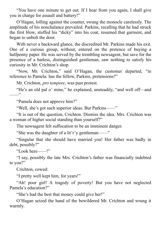"You have one minute to get out. If I hear from you again, I shall give you in charge for assault and battery!"

O'Hagan, lolling against the counter, swung the monocle carelessly. The amplitude of his nonchalance prevailed. Parkins, recalling that he had struck the first blow, stuffed his "dicky" into his coat, resumed that garment, and began to unbolt the door.

With never a backward glance, the discredited Mr. Parkins made his exit. One of a curious group, without, entered on the pretence of buying a halfpenny paper. He was served by the trembling newsagent, but save for the presence of a hatless, distinguished gentleman, saw nothing to satisfy his curiosity in Mr. Crichton's shop.

"Now, Mr. Crichton," said O'Hagan, the customer departed, "in reference to Pamela: has the fellow, Parkins, pretensions?"

Mr. Crichton, *pro tempore*, was past protest.

"He's an old pal o' mine," he explained, unsteadily, "and well off—and  $, , ,$ 

"Pamela does not approve him?"

"Well, she's got such superior ideas. But Parkins——"

"It is out of the question, Crichton. Dismiss the idea. Mrs. Crichton was a woman of higher social standing than yourself?"

The newsagent felt suffocation to be an imminent danger.

"She was the daughter of a lit'r'y gentleman——"

"Singular that she should have married you! Her father was badly in debt, possibly?"

"Look here——!"

"I say, possibly the late Mrs. Crichton's father was financially indebted to you?"

Crichton, cowed:

"I pretty well kept him, for years!"

"Ah! poor girl! A tragedy of poverty! But you have not neglected Pamela's education?"

"She's had the best that money could give her!"

O'Hagan seized the hand of the bewildered Mr. Crichton and wrung it warmly.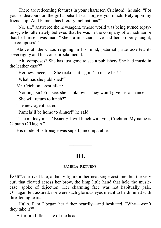"There are redeeming features in your character, Crichton!" he said. "For your endeavours on the girl's behalf I can forgive you much. Rely upon my friendship! And Pamela has literary inclinations?"

"No, sir," answered the newsagent, whose world was being turned topsyturvy, who alternately believed that he was in the company of a madman or that he himself was mad. "She's a musician; I've had her properly taught; she composes!"

Above all the chaos reigning in his mind, paternal pride asserted its sovereignty and his voice proclaimed it.

"Ah! composes? She has just gone to see a publisher? She had music in the leather case?"

"Her new piece, sir. She reckons it's goin' to make her!"

"What has she published?"

Mr. Crichton, crestfallen:

"Nothing, sir! You see, she's unknown. They won't give her a chance."

"She will return to lunch?"

The newsagent stared.

"Pamela'll be home to dinner!" he said.

"The midday meal? Exactly. I will lunch with you, Crichton. My name is Captain O'Hagan."

<span id="page-14-0"></span>His mode of patronage was superb, incomparable.

# **III.**

—————

#### **PAMELA RETURNS.**

PAMELA arrived late, a dainty figure in her neat serge costume; but the very curl that floated across her brow, the limp little hand that held the musiccase, spoke of dejection. Her charming face was not habitually pale, O'Hagan felt assured, nor were such glorious eyes meant to be dimmed with threatening tears.

"Hullo, Pam!" began her father heartily—and hesitated. "Why—won't they take it?"

A forlorn little shake of the head.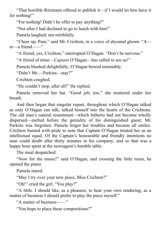"That horrible Ritzmann offered to publish it—if I would let him have it for nothing!"

"For nothing! Didn't he offer to pay anything?"

"Not after I had declined to go to lunch with him!"

Pamela laughed; not mirthfully.

"Cheer up, Pam," said Mr. Crichton, in a voice of abysmal gloom. "A er—a friend——"

"A friend, yes, Crichton," interrupted O'Hagan. "Don't be nervous."

"A friend of mine—*Captain* O'Hagan—has called to see us!"

Pamela blushed delightfully; O'Hagan bowed inimitably.

"Didn't Mr.—Parkins—stay?"

Crichton coughed.

"He couldn't stop, after all!" He replied.

Pamela removed her hat. "Good job, too," she muttered under her breath.

And then began that singular repast, throughout which O'Hagan talked as only O'Hagan can talk; talked himself into the hearts of the Crichtons. The old man's natural resentment—which hitherto had not become wholly dispersed—melted before the geniality of his distinguished guest; Mr. Parkins was forgotten. Pamela forgot her troubles and became all smiles. Crichton burned with pride to note that Captain O'Hagan treated her as an intellectual equal. Of the Captain's honourable and friendly intentions no man could doubt after thirty minutes in his company; and so that was a happy hour spent at the newsagent's humble table.

The meal despatched:

"Now for the music!" said O'Hagan, and crossing the little room, he opened the piano.

Pamela stared.

"May I try over your new piece, Miss Crichton?"

"Oh!" cried the girl. "You play?"

"A little. I should like, as a pleasure, to hear your own rendering; as a matter of business I should prefer to play the piece myself."

"A matter of business——"

"You hope to place these compositions?"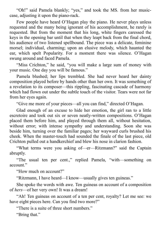"Oh!" said Pamela blankly; "yes," and took the MS. from her musiccase, adjusting it upon the piano-rack.

Few people have heard O'Hagan play the piano. He never plays unless requested and the many being ignorant of his accomplishment, he rarely is requested. But from the moment that his long, white fingers caressed the keys in the opening bar until that when they leapt back from the final chord, his audience of two listened spellbound. The piece was a delicate, feminine morsel; individual, charming; upon an elusive melody, which haunted the ear, which spelt Popularity. For a moment there was silence. O'Hagan swung around and faced Pamela.

"Miss Crichton," he said, "you will make a large sum of money with your music. One day you will be famous."

Pamela blushed; her lips trembled. She had never heard her dainty composition played before by hands other than her own. It was something of a revelation to its composer—this rippling, fascinating cascade of harmony which had flown out under the subtle touch of the visitor. Tears were not far from her eyes again.

"Give me more of your pieces—all you can find," directed O'Hagan.

Glad enough of an excuse to hide her emotion, the girl ran to a little escretoire and took out six or seven neatly-written compositions. O'Hagan placed them before him, and played through them all, without hesitation, without error; with intense sympathy and understanding. Soon she was beside him, turning over the familiar pages; her wayward curls brushed his cheek. When the master-touch had sounded the finale of the last piece, old Crichton pulled out a handkerchief and blew his nose in clarion fashion.

"What terms were you asking of—er—Ritzmann?" said the Captain abruptly.

"The usual ten per cent.," replied Pamela, "with—something on account."

"How much on account?"

"Ritzmann, I have heard—I know—usually gives ten guineas."

She spoke the words with awe. Ten guineas on account of a composition of *hers*—of her very own! It was a dream!

"Ah! Ten guineas on account of a ten per cent, royalty? Let me see: we have eight pieces here. Can you find two more?"

"There is a suite of three short numbers."

"Bring that."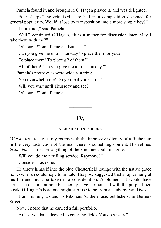Pamela found it, and brought it. O'Hagan played it, and was delighted.

"Four sharps," he criticised, "are bad in a composition designed for general popularity. Would it lose by transposition into a more simple key?"

"I think not," said Pamela.

"Well," continued O'Hagan, "it is a matter for discussion later. May I take these with me?"

"Of course!" said Pamela. "But——"

"Can you give me until Thursday to place them for you?"

"To place them! To place *all* of them?"

"All of them! Can you give me until Thursday?"

Pamela's pretty eyes were widely staring.

"You overwhelm me! Do you really mean it?"

"Will you wait until Thursday and see?"

"Of course!" said Pamela.

# **IV.**

—————

#### **A MUSICAL INTERLUDE.**

<span id="page-17-0"></span>O'HAGAN ENTERED my rooms with the impressive dignity of a Richelieu; in the very distinction of the man there is something opulent. His refined *insouciance* surpasses anything of the kind one could imagine.

"Will you do me a trifling service, Raymond?"

"Consider it as done."

He threw himself into the blue Chesterfield lounge with the native grace no lesser man could hope to imitate. His pose suggested that a rapier hung at his hip and must be taken into consideration. A plumed hat would have struck no discordant note but merely have harmonised with the purple-lined cloak. O'Hagan's head one might surmise to be from a study by Van Dyck.

"I am running around to Ritzmann's, the music-publishers, in Berners Street."

Now, I noted that he carried a full portfolio.

"At last you have decided to enter the field? You do wisely."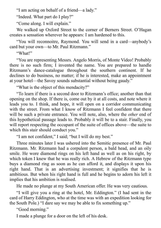"I am acting on behalf of a friend—a lady."

"Indeed. What part do I play?"

"Come along. I will explain."

We walked up Oxford Street to the corner of Berners Street. O'Hagan creates a sensation wherever he appears: I am hardened to this.

"You will reconnoitre, Raymond. You will send in a card—anybody's card but your own—to Mr. Paul Ritzmann."

"What!"

"You are representing Messrs. Angelo Morris, of Monte Video! Probably there is no such firm; I invented the name. You are prepared to handle Ritzmann's dance-catalogue throughout the southern continent. If he declines to do business, no matter; if he is interested, make an appointment at your hotel—the Savoy sounds substantial without being gaudy."

"What is the object of this mendacity?"

"To learn if there is a second door to Ritzmann's office; another than that opening on the shop. If there is, come out by it at all costs, and note where it leads you to. I think, and hope, it will open on a corridor communicating with the street. From what I know of Ritzmann I feel confident that there will be such a private entrance. You will note, also, where the *other* end of this hypothetical passage leads to. Probably it will be to a stair. Finally, you will report respecting the occupant of the suite of offices above—the suite to which this stair should conduct you."

"I am not confident," I said; "but I will do my best."

Three minutes later I was ushered into the Semitic presence of Mr. Paul Ritzmann. Mr. Ritzmann had a corpulent person, a bald head, and an oily smile. He wore diamond rings on his left hand as well as on his right, by which token I knew that he was really rich. A Hebrew of the Ritzmann type buys a diamond ring as soon as he can afford it, and displays it upon his right hand. That is an advertising investment; it signifies that he is ambitious. But when his right hand is full and he begins to adorn his left it implies that his ambition is realised.

He made no plunge at my South American offer. He was very cautious.

"I will give you a ring at the hotel, Mr. Eddington." (I had sent in the card of Harry Eddington, who at the time was with an expedition looking for the South Pole.) "I dare say we may be able to fix something up."

"Good morning."

I made a plunge for a door on the left of his desk.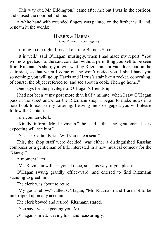"This way out, Mr. Eddington," came after me; but I was in the corridor, and closed the door behind me.

A white hand with extended fingers was painted on the further wall, and, beneath it, the words:

# HARRIS & HARRIS

*Domestic Employment Agency*.

Turning to the right, I passed out into Berners Street.

"It is well," said O'Hagan, musingly, when I had made my report. "You will now get back to the said corridor, without permitting yourself to be seen from Ritzmann's shop; you will wait by Ritzmann's private door, but on the stair side, so that when I come out he won't notice you. I shall hand you something; you will go up Harris and Harris's stair like a rocket, concealing, of course, the object referred to, and see about a cook. Then go home."

One pays for the privilege of O'Hagan's friendship.

I had not been at my post more than half a minute, when I saw O'Hagan pass in the street and enter the Ritzmann shop. I began to make notes in a note-book to excuse my loitering. Leaving me so engaged, you will please follow the Captain.

To a counter-clerk:

"Kindly inform Mr. Ritzmann," he said, "that the gentleman he is expecting will see him."

"Yes, sir. Certainly, sir. Will you take a seat!"

This, the shop staff were decided, was either a distinguished Russian composer or a gentleman of title interested in a new musical comedy for the "Gaiety."

A moment later:

"Mr. Ritzmann will see you at once, sir. This way, if you please."

O'Hagan swung grandly office-ward, and entered to find Ritzmann standing to greet him.

The clerk was about to retire.

"My good fellow," called O'Hagan, "Mr. Ritzmann and I are not to be interrupted upon any account."

The clerk bowed and retired. Ritzmann stared.

"You say I was expecting you, Mr.——?"

O'Hagan smiled, waving his hand reassuringly.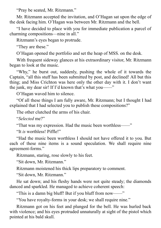"Pray be seated, Mr. Ritzmann."

Mr. Ritzmann accepted the invitation, and O'Hagan sat upon the edge of the desk facing him. O'Hagan was between Mr. Ritzmann and the bell.

"I have decided to place with you for immediate publication a parcel of charming compositions—nine in all."

Ritzmann's eyes began to protrude.

"They are these."

O'Hagan opened the portfolio and set the heap of MSS. on the desk.

With frequent sideway glances at his extraordinary visitor, Mr. Ritzmann began to look at the music.

"Why," he burst out, suddenly, pushing the whole of it towards the Captain, "all this stuff has been submitted by post, and declined! All but this thing; and Miss Crichton was here only the other day with it. I don't want the junk, my dear sir! If I'd known that's what you——"

O'Hagan waved him to silence.

"Of all these things I am fully aware, Mr. Ritzmann; but I thought I had explained that I had selected you to publish these compositions?"

The other clutched the arms of his chair.

"*Selected* me?"

"That was my expression. Had the music been worthless——"

"It *is* worthless! Piffle!"

"Had the music been worthless I should not have offered it to you. But each of these nine items is a sound speculation. We shall require nine agreement-forms."

Ritzmann, staring, rose slowly to his feet.

"Sit down, Mr. Ritzmann."

Ritzmann moistened his thick lips preparatory to comment.

"Sit down, Mr. Ritzmann."

He sat down; and his fleshy hands were not quite steady; the diamonds danced and sparkled. He managed to achieve coherent speech:

"This is a damn big bluff! But if you bluff from now——"

"You have royalty-forms in your desk; we shall require nine."

Ritzmann got on his feet and plunged for the bell. He was hurled back with violence; and his eyes protruded unnaturally at sight of the pistol which pointed at his bald skull.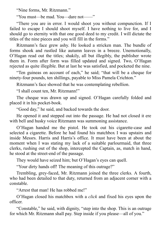"Nine forms, Mr. Ritzmann."

"You must—be mad. You—dare not——"

"There you are in error. I would shoot you without compunction. If I failed to escape I should shoot myself. I have nothing to live for, and I should go to eternity with that one good deed to my credit. I will dictate the titles of the nine pieces and you will fill in the forms."

Ritzmann's face grew ashy. He looked a stricken man. The bundle of forms shook and rustled like autumn leaves in a breeze. Unemotionally, O'Hagan read out the titles; shakily, all but illegibly, the publisher wrote them in. Form after form was filled updated and signed. Two, O'Hagan rejected as quite illegible. But at last he was satisfied, and pocketed the nine.

"Ten guineas on account of each," he said; "that will be a cheque for ninety-four pounds, ten shillings, payable to Miss Pamela Crichton."

Ritzmann's face showed that he was contemplating rebellion.

"I shall count ten, Mr. Ritzmann!"

The cheque was drawn up and signed. O'Hagan carefully folded and placed it in his pocket-book.

"Good day," he said, and backed towards the door.

He opened it and stepped out into the passage. He had not closed it ere with bell and husky voice Ritzmann was summoning assistance.

O'Hagan handed me the pistol. He took out his cigarette-case and selected a cigarette. Before he had found his matchbox I was upstairs and inside Messrs. Harris and Harris's office. It must have been at about the moment when I was stating my lack of a suitable parlourmaid, that three clerks, rushing out of the shop, intercepted the Captain, as, match in hand, he stood at the street-end of the passage.

They would have seized him; but O'Hagan's eyes can quell.

"Your dirty hands off! The meaning of this outrage?"

Trembling, grey-faced, Mr. Ritzmann joined the three clerks. A fourth, who had been detailed to that duty, returned from an adjacent corner with a constable.

"Arrest that man! He has robbed me!"

O'Hagan closed his matchbox with a *click* and fixed his eyes upon the officer.

"Constable," he said, with dignity, "step into the shop. This is an outrage for which Mr. Ritzmann shall pay. Step inside if you please—all of you."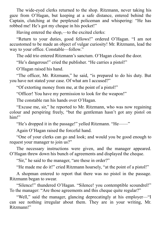The wide-eyed clerks returned to the shop. Ritzmann, never taking his gaze from O'Hagan, but keeping at a safe distance, entered behind the Captain, clutching at the perplexed policeman and whispering: "He has robbed me! He's got my cheque in his pocket!"

Having entered the shop,—to the excited clerks:

"Return to your duties, good fellows!" ordered O'Hagan. "I am not accustomed to be made an object of vulgar curiosity! Mr. Ritzmann, lead the way to your office. Constable—follow."

The odd trio entered Ritzmann's sanctum. O'Hagan closed the door.

"He's dangerous!" cried the publisher. "He carries a pistol!"

O'Hagan raised his hand.

"The officer, Mr. Ritzmann," he said, "is prepared to do his duty. But you have not stated your case. Of what am I accused?"

"Of extorting money from me, at the point of a pistol!"

"Officer! You have my permission to look for the weapon!"

The constable ran his hands over O'Hagan.

"Excuse me, sir," he reported to Mr. Ritzmann, who was now regaining colour and perspiring freely, "but the gentleman hasn't got any pistol on him!"

"He's dropped it in the passage!" yelled Ritzmann. "He——"

Again O'Hagan raised the forceful hand.

"One of your clerks can go and look; and would you be good enough to request your manager to join us?"

The necessary instructions were given, and the manager appeared. O'Hagan threw down his bunch of agreements and displayed the cheque.

"Sir," he said to the manager, "are these in order?"

"He made me do it!" cried Ritzmann hoarsely, "at the point of a pistol!"

A shopman entered to report that there was no pistol in the passage. Ritzmann began to swear.

"Silence!" thundered O'Hagan. "Silence! you contemptible scoundrel!" To the manager: "Are those agreements and this cheque quite regular?"

"Well," said the manager, glancing deprecatingly at his employer—"I can see nothing irregular about them. They are in your writing, Mr. Ritzmann!"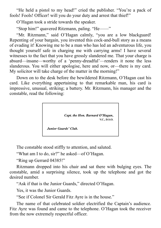"He held a pistol to my head!" cried the publisher. "You're a pack of fools! Fools! Officer! will you do your duty and arrest that thief!"

O'Hagan took a stride towards the speaker.

"Stop him!" quavered Ritzmann, paling. "He——"

"Mr. Ritzmann," said O'Hagan calmly, "you are a low blackguard! Repenting of your bargain, you invented this cock-and-bull story as a means of evading it! Knowing me to be a man who has led an adventurous life, you thought yourself safe in charging me with carrying arms! I have several witnesses to the fact that you have grossly slandered me. That your charge is absurd—insane—worthy of a 'penny-dreadful'—renders it none the less slanderous. You will either apologise, here and now, or—there is my card. My solicitor will take charge of the matter in the morning!"

Down on to the desk before the bewildered Ritzmann, O'Hagan cast his card. Like everything appertaining to that remarkable man, his card is impressive, unusual, striking; a battery. Mr. Ritzmann, his manager and the constable, read the following:

> *Capt. the Hon. Barnard O'Hagan***, V.C., D.S.O.**

*Junior Guards' Club.*

The constable stood stiffly to attention, and saluted.

"What am I to do, sir?" he asked—of O'Hagan.

"Ring up Gerrard 04385!"

Ritzmann dropped into his chair and sat there with bulging eyes. The constable, amid a surprising silence, took up the telephone and got the desired number.

"Ask if that is the Junior Guards," directed O'Hagan.

Yes, it was the Junior Guards.

"See if Colonel Sir Gerald Fitz Ayre is in the house."

The name of that celebrated soldier electrified the Captain's audience. Fitz Ayre was found and came to the telephone. O'Hagan took the receiver from the now extremely respectful officer.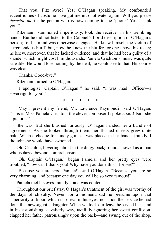"That you, Fitz Ayre? Yes; O'Hagan speaking. My confounded eccentricities of costume have got me into hot water again! Will you please *describe me* to the person who is now coming to the 'phone! Yes. Thank you."

Ritzmann, summoned imperiously, took the receiver in his trembling hands. But he did not listen to the Colonel's florid description of O'Hagan's person; for his mind was otherwise engaged. He knew himself the victim of a tremendous bluff, but, now, he knew the bluffer for one above his reach; he knew, moreover, that he lacked evidence, and that he had been guilty of a slander which might cost him thousands. Pamela Crichton's music was quite saleable. He would lose nothing by the deal; he would see to that. His course was clear.

"Thanks. Good-bye."

Ritzmann turned to O'Hagan.

"I apologise, Captain O'Hagan!" he said. "I was mad! Officer—a sovereign for you!"

\* \* \* \* \*

"May I present my friend, Mr. Lawrence Raymond?" said O'Hagan. "This is Miss Pamela Crichton, the clever composer I spoke about! Isn't she a picture?"

She was. But she blushed furiously. O'Hagan handed her a bundle of agreements. As she looked through them, her flushed cheeks grew quite pale. When a cheque for ninety guineas was placed in her hands, frankly, I thought she would have swooned.

Old Crichton, hovering about in the dingy background, showed as a man who is dazed beyond comprehension.

"Oh, Captain O'Hagan," began Pamela, and her pretty eyes were troubled, "how can I thank you! Why have you done this—for *me*?"

"Because you are *you*, Pamela!" said O'Hagan. "Because you are so very charming, and because one day you will be so very famous!"

Pamela met his eyes frankly—and was content.

Throughout our brief stay, O'Hagan's treatment of the girl was worthy of the days of chivalry. Never, for a moment, did he presume upon that superiority of blood which is so real in his eyes, nor upon the service he had done this newsagent's daughter. When we took our leave he kissed her hand in his astonishing, cavalierly way, tactfully ignoring her sweet confusion, clapped her father patronisingly upon the back—and swung out of the shop,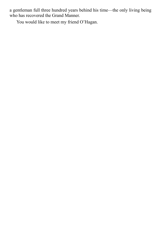a gentleman full three hundred years behind his time—the only living being who has recovered the Grand Manner.

You would like to meet my friend O'Hagan.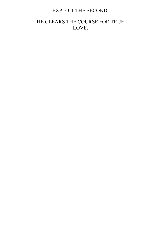# EXPLOIT THE SECOND.

# HE CLEARS THE COURSE FOR TRUE LOVE.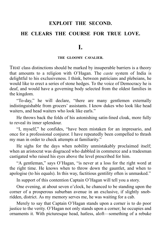## **EXPLOIT THE SECOND.**

# <span id="page-27-0"></span>**HE CLEARS THE COURSE FOR TRUE LOVE.**

**I.**

#### **THE GLOOMY CAVALIER.**

THAT class distinctions should be marked by insuperable barriers is a theory that amounts to a religion with O'Hagan. The *caste* system of India is delightful to his exclusiveness. I think, between patricians and plebeians, he would like to erect a series of stone hedges. To the voice of Democracy he is deaf, and would have a governing body selected from the oldest families in the kingdom.

"To-day," he will declare, "there are many gentlemen externally indistinguishable from grocers' assistants. I know dukes who look like head waiters, and head waiters who look like earls."

He throws back the folds of his astonishing satin-lined cloak, more fully to reveal its inner splendour.

"I, myself," he confides, "have been mistaken for an impresario, and once for a professional conjuror. I have repeatedly been compelled to thrash my man in order to check attempts at familiarity."

He sighs for the days when nobility unmistakably proclaimed itself; when an aristocrat was disgraced who dabbled in commerce and a tradesman castigated who raised his eyes above the level prescribed for him.

"A gentleman," says O'Hagan, "is never at a loss for the right word at the right time. He knows when to throw down the gauntlet, and when to apologise (to his equals). In this way, factitious gentility often is unmasked."

In support of this contention Captain O'Hagan will tell you a story.

One evening, at about seven o'clock, he chanced to be standing upon the corner of a prosperous suburban avenue in an exclusive, if slightly snobridden, district. As my memory serves me, he was waiting for a cab.

Merely to say that Captain O'Hagan stands upon a corner is to do poor justice to the verity. O'Hagan not only stands upon a corner; he occupies and ornaments it. With picturesque head, hatless, aloft—something of a rebuke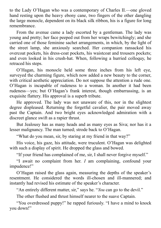to the Lady O'Hagan who was a contemporary of Charles II.—one gloved hand resting upon the heavy ebony cane, two fingers of the other dangling the large monocle, dependent on its black silk ribbon, his is a figure for long remembrance.

From the avenue came a lady escorted by a gentleman. The lady was young and pretty; her face peeped out from her wraps bewitchingly; and she carried one of those feminine sachet arrangements, in which, by the light of the street lamp, she anxiously searched. Her companion ransacked his overcoat pockets, his dress-coat pockets, his waistcoat and trousers pockets; and even looked in his crush-hat. When, following a hurried colloquy, he retraced his steps.

O'Hagan, his monocle held some three inches from his left eye, surveyed the charming figure, which now added a new beauty to the corner, with critical aesthetic appreciation. Do not suppose the attention a rude one. O'Hagan is incapable of rudeness to a woman. In another it had been rudeness—yes; but O'Hagan's frank interest, though embarrassing, is an exquisite flattery. His approval is a superb tribute.

He approved. The lady was not unaware of this, nor in the slightest degree displeased. Returning the forgetful cavalier, the pair moved away past the Captain. And two bright eyes acknowledged admiration with a discreet glance swift as a rapier thrust.

But Jealousy has as many heads and as many eyes as Siva; nor has it a lesser malignancy. The man turned; strode back to O'Hagan.

"What do you mean, sir, by staring at my friend in that way?"

His voice, his gaze, his attitude, were truculent. O'Hagan was delighted with such a display of spirit. He dropped the glass and bowed.

"If your friend has complained of me, sir, I shall never forgive myself."

"I await no complaint from her. *I* am complaining, confound your impudence!"

O'Hagan raised the glass again, measuring the depths of the speaker's resentment. He considered the words ill-chosen and ill-mannered; and instantly had revised his estimate of the speaker's character.

"An entirely different matter, sir," says he. "*You* can go to the devil."

The other flushed and thrust himself nearer to the suave Captain.

"You overdressed puppy!" he rapped furiously. "I have a mind to knock you down!"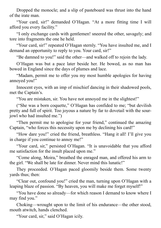Dropped the monocle; and a slip of pasteboard was thrust into the hand of the irate man.

"Your card, sir!" demanded O'Hagan. "At a more fitting time I will afford you every facility."

"I only exchange cards with gentlemen! sneered the other, savagely; and tore into fragments the one he held.

"Your card, sir!" repeated O'Hagan sternly. "You have insulted me, and I demand an opportunity to reply to you. Your card, sir!"

"Be damned to you!" said the other—and walked off to rejoin the lady.

O'Hagan was but a pace later beside her. He bowed, as no man has bowed in England since the days of plumes and lace.

"Madam, permit me to offer you my most humble apologies for having annoyed you!"

Innocent eyes, with an imp of mischief dancing in their shadowed pools, met the Captain's.

"You are mistaken, sir. You have not annoyed me in the slightest!"

("She was a born coquette," O'Hagan has confided to me; "but devilish pretty and full of spirit. Too joyous a nature by far to dovetail with the sourjowl who had insulted me.")

"Then permit me to apologise for your friend," continued the amazing Captain, "who forces this necessity upon me by declining his card!"

"How dare you!" cried the friend, breathless. "Hang it all! I'll give you in charge if you continue to annoy me!"

"Your card, sir," persisted O'Hagan. "It is unavoidable that you afford me satisfaction for the insult placed upon me."

"Come along, Moira," breathed the enraged man, and offered his arm to the girl. "We shall be late for dinner. Never mind this lunatic!"

They proceeded. O'Hagan paced gloomily beside them. Some twenty yards thus; then:

"Clear out, confound you!" cried the man, turning upon O'Hagan with a leaping blaze of passion. "By heaven, you will make me forget myself!"

"You have done so already—for which reason I demand to know where I may find you."

Choking—wrought upon to the limit of his endurance—the other stood, mouth atwitch, hands clenched.

"Your card, sir," said O'Hagan icily.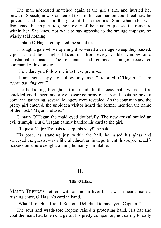The man addressed snatched again at the girl's arm and hurried her onward. Speech, now, was denied to him; his companion could feel how he quivered and shook in the gale of his emotions. Somewhat, she was frightened; but in part, too, the novelty of the situation pleased the romantic within her. She knew not what to say apposite to the strange impasse, so wisely said nothing.

Captain O'Hagan completed the silent trio.

Through a gate whose opening discovered a carriage-sweep they passed. Upon a neat lawn lights blazed out from every visible window of a substantial mansion. The obstinate and enraged stranger recovered command of his tongue.

"How dare you follow me into these premises!"

"I am not a spy, to follow any man," retorted O'Hagan. "I am *accompanying* you!"

The bell's ring brought a trim maid. In the cosy hall, where a fire crackled good cheer, and a well-assorted array of hats and coats bespoke a convivial gathering, several loungers were revealed. As the sour man and the pretty girl entered, the unbidden visitor heard the former mention the name of the host, "Major Trefusis."

Captain O'Hagan the maid eyed doubtfully. The new arrival smiled an evil triumph. But O'Hagan calmly handed his card to the girl.

"Request Major Trefusis to step this way!" he said.

His pose, as, standing just within the hall, he raised his glass and surveyed the guests, was a liberal education in deportment; his supreme selfpossession a pure delight, a thing humanly inimitable.

# **II.**

—————

#### **THE OTHER.**

<span id="page-30-0"></span>MAJOR TREFUSIS, retired, with an Indian liver but a warm heart, made a rushing entry, O'Hagan's card in hand.

"What! brought a friend. Repton? Delighted to have you, Captain!"

The sour and wrath-sore Repton raised a protesting hand. His hat and coat the maid had taken charge of; his pretty companion, not daring to dally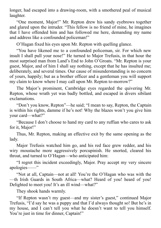longer, had escaped into a drawing-room, with a smothered peal of musical laughter.

"One moment, Major!" Mr. Repton drew his sandy eyebrows together and glared upon the intruder. "This fellow is no friend of mine, he imagines that I have offended him and has followed me here, demanding my name and address like a confounded policeman!"

O'Hagan fixed his eyes upon Mr. Repton with quelling glance.

"You have likened me to a confounded policeman, sir. For which new insult I shall pull your nose!" He turned to Major Trefusis, in that hour the most surprised man from Land's End to John O'Groats. "Mr. Repton is your guest, Major, and of him I shall say nothing, except that he has insulted me; deliberately, and several times. Our cause of misunderstanding is no concern of yours, happily; but as a brother officer and a gentleman you will support my claim to know where I may call upon Mr. Repton to-morrow?"

The Major's prominent, Cambridge eyes regarded the quivering Mr. Repton, whose wrath yet was badly bottled, and escaped in divers sibilant exclamations.

"Don't you know, Repton"—he said; "I mean to say, Repton, the Captain is within his rights, damme if he's not! Why the blazes won't you give him your card—what?"

"Because I don't choose to hand my card to any ruffian who cares to ask for it, Major!"

Thus, Mr. Repton, making an effective exit by the same opening as the lady.

Major Trefusis watched him go, and his red face grew redder, and his wiry moustache more aggressively porcupinish. He snorted, cleared his throat, and turned to O'Hagan—who anticipated him:

"I regret this incident exceedingly, Major. Pray accept my very sincere apologies——"

"Not at all, Captain—not at all! You're the O'Hagan who was with the —th Irish Guards in South Africa—what? Heard of you! heard of you! Delighted to meet you! It's an ill wind—what?"

They shook hands warmly.

"If Repton wasn't my guest—and my sister's guest," continued Major Trefusis, "I'd say he was a puppy and that I'd always thought so! But he's in my house, and I can't tell you what he doesn't want to tell you himself. You're just in time for dinner, Captain!"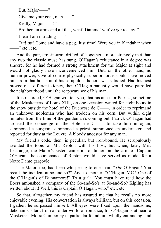"But, Major——"

"Give me your coat, man——"

"Really, Major——!"

"Brothers in arms and all that, what! Damme! you've *got* to stay!"

"I fear I am intruding——"

"Tut! tut! Come and have a peg. Just time! Were you in Kandahar when  $\frac{1}{\sqrt{2}}$  etc., etc.

And the pair, arm-in-arm, drifted off together—more strangely met than any two the classic muse has sung. O'Hagan's reluctance in a degree was sincere, for he had formed a strong attachment for the Major at sight and would not gladly have inconvenienced him. But, on the other hand, no human power, save of course physically superior force, could have moved him from that house until his scrupulous honour was satisfied. Had his host proved of a different kidney, then O'Hagan patiently would have patrolled the neighbourhood until the reappearance of his man.

It is recorded, O'Hagan will tell you, that his ancestor Patrick, sometime of the Musketeers of Louis XIII., on one occasion waited for eight hours in the snow outside the hotel of the Duchesse de C——, in order to reprimand an unknown nobleman who had trodden on his corn. But within eight minutes from the time of the gentleman's coming out, Patrick O'Hagan had aroused the concierge of the Hotel de C—— to take him in again, summoned a surgeon, summoned a priest, summoned an undertaker, and reported for duty at the Louvre. A bloody ancestor for any man.

My friend's code, then, is peculiar, but iron-bound. He scrupulously avoided the topic of Mr. Repton with his host; but when, later, Mrs. Lestrange, the Major's sister, came in to dinner on the arm of Captain O'Hagan, the countenance of Repton would have served as model for a Notre Dame gargoyle.

The Major, too, had been whispering to one man: "*The* O'Hagan! You recall the incident at so-and-so?" And to another: "O'Hagan, V.C.! One of the O'Hagan's of Dunnamore!" To a girl: "You must have read how the Boers ambushed a company of the So-and-So's at So-and-So? Kipling has written about it! Well, this is Captain O'Hagan, who," etc., etc.

So that, altogether, my friend has assured me that he recalls no more enjoyable evening. His conversation is always brilliant, but on this occasion, I gather, he surpassed himself. All eyes were fixed upon the handsome, debonair visitant from an older world of romance; for O'Hagan is at heart a Musketeer. Moira Cumberley in particular found him wholly entrancing; and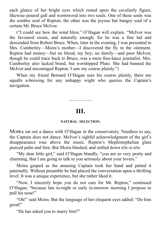each glance of her bright eyes which rested upon the cavalierly figure, likewise poured gall and wormwood into two souls. One of these souls was the sombre soul of Repton; the other was the joyous but hungry soul of a certain Mr. Bruce McIvor.

("I could see how the wind blew," O'Hagan will explain. "McIvor was the favoured swain, and naturally enough; for he was a fine lad and descended from Robert Bruce. When, later in the evening, I was presented to Mrs. Cumberley—Moira's mother—I discovered the fly in the ointment. Repton had money—but no blood, my boy; no family—and poor McIvor, though he could trace back to Bruce, was a mere free-lance journalist. Mrs. Cumberley also lacked breed, but worshipped Pluto. She had banned the McIvor and encouraged Repton. I saw my course plainly.")

When my friend Bernard O'Hagan sees his course plainly, there are squalls a-brewing for any unhappy wight who queries the Captain's navigation.

# **III.**

—————

#### **NATURAL SELECTION.**

<span id="page-33-0"></span>MOIRA sat out a dance with O'Hagan in the conservatory. Needless to say, the Captain does not dance. McIvor's sighful acknowledgment of the girl's disappearance rose above the music. Repton's Mephistophelian glare pierced palm and fern. But Moira blushed, and settled down *tête-à-tête*.

"My dear little girl," said O'Hagan blandly, "you are so very pretty and charming, that I am going to talk to you seriously about your lovers."

Moira gasped as the amazing Captain took her hand and patted it paternally. Without preamble he had placed the conversation upon a thrilling level. It was a unique experience, but she rather liked it.

"Now, I sincerely hope you do not care for Mr. Repton," continued O'Hagan; "because late to-night or early to-morrow morning I propose to pull his nose!"

"Oh!" said Moira. But the language of her eloquent eyes added: "Do him good!"

"He has asked you to marry him?"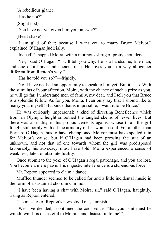(A rebellious glance).

"Has he not?"

(Slight nod).

"You have not yet given him your answer?"

(Head-shake).

"I am glad of that; because I want you to marry Bruce McIvor," explained O'Hagan judicially.

"Indeed!" snapped Moira, with a mutinous shrug of pretty shoulders.

"Yes," said O'Hagan. "I will tell you why. He is a handsome, fine man, and one of a brave and ancient race. He loves you in a way altogether different from Repton's way."

"Has he told you so?"—frigidly.

"No. I have not had an opportunity to speak to him yet! But it is so. With the stimulus of your affection, Moira, with the chance of such a prize as you, he will go far. I understand men of family, my dear, and I tell you that Bruce is a splendid fellow. As for you, Moira, I can only say that I should like to marry you, myself! But since that is impossible, I want it to be Bruce."

He was curiously impersonal; a kind of directing Beneficence which from an Olympic height smoothed the tangled skeins of lesser lives. But there was a finality in his pronouncements against whose thrall the girl fought stubbornly with all the armoury of her woman-soul. For another than Bernard O'Hagan thus to have championed McIvor must have spelled ruin for McIvor's cause; but if O'Hagan had been pressing the suit of an unknown, and not that of one towards whom the girl was predisposed favourably, his advocacy must have told. Moira experienced a sense of weakness; later, of absolute futility.

Once submit to the yoke of O'Hagan's regal patronage, and you are lost. You become a mere pawn. His majestic interference is a stupendous force.

Mr. Repton appeared to claim a dance.

Muffled thunder seemed to be called for and a little incidental music in the form of a sustained chord in G minor.

"I have been having a chat with Moira, sir," said O'Hagan, haughtily, rising as Repton entered.

The muscles of Repton's jaws stood out, lumpish.

"We have decided," continued the cool voice, "that your suit must be withdrawn! It is distasteful to Moira—and distasteful to me!"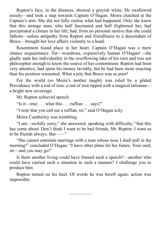Repton's face, in the dimness, showed a greyish white. He swallowed noisily—and took a step towards Captain O'Hagan. Moira clutched at the Captain's arm. She did not fully realise what had happened. Only she knew that this strange man, who half fascinated and half frightened her, had precipitated a climax in her life; had, from no personal motive that she could fathom—unless antipathy from Repton and friendliness to a descendant of Bruce—brought her love affairs violently to a head.

Resentment found place in her heart. Captain O'Hagan was a mere chance acquaintance. Yet—wondrous, expansively human O'Hagan!—she gladly sank her individuality in the overflowing lake of his own and was not philosopher enough to know the source of her contentment. Repton had been very attentive, had spent his money lavishly, but he had been more exacting than his position warranted. What a pity that Bruce was so poor!

For the world (so Moira's mother taught) was ruled by a gilded Providence with a rod of iron: a rod of iron tipped with a magical talisman a bright new sovereign.

Mr. Repton achieved speech.

"Is it—true . . . what this . . . ruffian . . . says?"

"I note that you call me a ruffian, sir," said O'Hagan icily.

Moira Cumberley was trembling.

"I am—awfully sorry," she answered, speaking with difficulty, "that this has come about. Don't think I want to be bad friends, Mr. Repton. I want us to be friends always. But——"

"She cannot entertain marriage with a man whose nose I shall pull in the morning!" concluded O'Hagan. "I have other plans for her future. Your card, sir—and you may go!"

Is there another living could have framed such a speech?—another who could have carried such a situation in such a manner? I challenge you to produce him.

Repton turned on his heel. Of words he was bereft again; action was impossible.

—————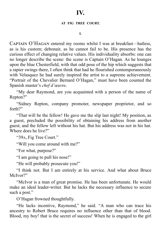#### **AT FIG TREE COURT.**

**I.**

CAPTAIN O'HAGAN entered my rooms whilst I was at breakfast—hatless, as is his custom; debonair, as he cannot fail to be. His presence has the curious effect of changing relative values. His individuality absorbs: one can no longer describe the scene: the scene is Captain O'Hagan. As he lounges upon the blue Chesterfield, with that odd pose of the hip which suggests that a rapier swings there, I often think that had he flourished contemporaneously with Velasquez he had surely inspired the artist to a supreme achievement. "Portrait of the Chevalier Bernard O'Hagan," must have been counted the Spanish master's *chef d'œuvre*.

"My dear Raymond, are you acquainted with a person of the name of Repton?"

"Sidney Repton, company promoter, newspaper proprietor, and so forth?"

"That will be the fellow! He gave me the slip last night! My position, as a guest, precluded the possibility of obtaining his address from another guest; and the fellow left without his hat. But his address was not in his hat. Where does he live?"

"39A, Fig Tree Court."

"Will you come around with me?"

"For what, purpose?"

"I am going to pull his nose!"

"He will probably prosecute you!"

"I think not. But I am entirely at his service. And what about Bruce McIvor?"

"McIvor is a man of great promise. He has been unfortunate. He would make an ideal leader-writer. But he lacks the necessary influence to secure such a post."

O'Hagan frowned thoughtfully.

"He lacks incentive, Raymond," he said. "A man who can trace his ancestry to Robert Bruce requires no influence other than that of blood. Blood, my boy! that is the secret of success! When he is engaged to the girl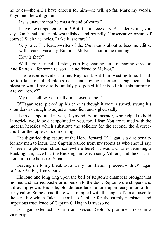he loves—the girl I have chosen for him—he will go far. Mark my words, Raymond; he will go far."

"I was unaware that he was a friend of yours."

"I have never spoken to him! But it is unnecessary. A leader-writer, you say? On behalf of an old-established and soundly Conservative organ, of course? Such vacancies, I take it, are rare?"

"Very rare. The leader-writer of the *Universe* is about to become editor. That will create a vacancy. But poor McIvor is not in the running."

"How is that?"

"Well—your friend, Repton, is a big shareholder—managing director. And Repton—for some reason—is no friend to McIvor."

"The reason is evident to me, Raymond. But I am wasting time. I shall be too late to pull Repton's nose; and, owing to other engagements, the pleasure would have to be unduly postponed if I missed him this morning. Are you ready?"

"My dear fellow, you really must excuse me!"

O'Hagan rose, picked up his cane as though it were a sword, swung his shoulders as though to adjust a bandolier, and sighed sadly.

"I am disappointed in you, Raymond. Your ancestor, who helped to hold Limerick, would be disappointed in you, too, I fear. You are tainted with the modern heresies which substitute the solicitor for the second, the divorcecourt for the rapier. Good morning."

The dignified displeasure of the Hon. Bernard O'Hagan is a dire penalty for any man to incur. The Captain retired from my rooms as who should say, "There is a plebeian strain somewhere here!" It was a Charles rebuking a Buckingham; save that the Buckingham was a sorry Villiers, and the Charles a credit to the house of Stuart.

Leaving me to my breakfast and my humiliation, proceed with O'Hagan to No. 39A, Fig Tree Court.

His loud and long ring upon the bell of Repton's chambers brought that monied and harried bachelor in person to the door. Repton wore slippers and a dressing-gown. His pale, blonde face faded a tone upon recognition of his early caller. Some dread there was, mingled with the anger of a man used to the servility which Talent accords to Capital; for the calmly persistent and imperious truculence of Captain O'Hagan is awesome.

O'Hagan extended his arm and seized Repton's prominent nose in a vice-grip.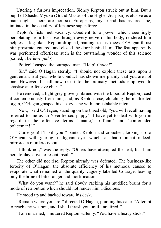Uttering a furious imprecation, Sidney Repton struck out at him. But a pupil of Shashu Myuku (Grand Master of the Higher Jiu-jitsu) is elusive as a marsh-light. There are not six Europeans, my friend has assured me, initiated in the occultry of Japanese super-force.

Repton's fists met vacancy. Obedient to a power which, seemingly percolating from his nose through every nerve of his body, rendered him helpless—log-like—Repton dropped, panting, to his knees. O'Hagan thrust him prostrate, entered, and closed the door behind him. The feat apparently was performed effortless; such is the outstanding wonder of this science (called, I believe, *judo*).

"Police!" gasped the outraged man. "Help! *Police!*"

"Sir," said O'Hagan sternly, "I should not exploit these arts upon a gentleman. But your whole conduct has shown me plainly that you are not one. However, I shall now resort to the ordinary methods employed to chastise an offensive churl."

He removed, a light grey glove (imbrued with the blood of Repton), cast it contemptuously from him; and, as Repton rose, clutching the maltreated organ, O'Hagan grasped his heavy cane with unmistakable intent.

"Now," said O'Hagan, standing on the threshold, "you will recall having referred to me as an 'overdressed puppy'! I have yet to deal with you in regard to the offensive terms 'lunatic,' 'ruffian,' and 'confounded policeman!' "

"Curse you! I'll kill you!" panted Repton and crouched, looking up to O'Hagan with glaring, malignant eyes which, at that moment indeed, mirrored a murderous soul.

"I think not," was the reply. "Others have attempted the feat; but I am here to-day, alive to resent insult."

The other did not rise. Repton already was defeated. The business-like ferocity of O'Hagan, the absolute efficiency of his methods, caused to evaporate what remained of the quality vaguely labelled Courage, leaving only the brine of bitter anger and mortification.

"What do you want?" he said slowly, racking his muddled brains for a mode of retribution which should not render him ridiculous.

He stood up and backed toward his desk.

"Remain where you are!" directed O'Hagan, pointing his cane. "Attempt to reach any weapon, and I shall thrash you until I am tired!"

"I am unarmed," muttered Repton sullenly. "You have a heavy stick."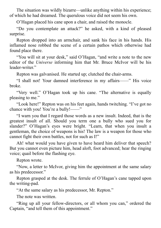The situation was wildly bizarre—unlike anything within his experience; of which he had dreamed. The querulous voice did not seem his own.

O'Hagan placed his cane upon a chair, and raised the monocle.

"Do you contemplate an attack?" he asked, with a kind of pleased surprise.

Repton dropped into an armchair, and sank his face in his hands. His inflamed nose robbed the scene of a certain pathos which otherwise had found place there.

"You will sit at your desk," said O'Hagan, "and write a note to the new editor of the *Universe* informing him that Mr. Bruce McIvor will be his leader-writer"

Repton was galvanised. He started up; clutched the chair-arms.

"I shall not! Your damned interference in my affairs——" His voice broke.

"Very well." O'Hagan took up his cane. "The alternative is equally pleasing to me."

"Look here!" Repton was on his feet again, hands twitching. "I've got no chance with you! You're a bully!——"

"I warn you that I regard those words as a new insult. Indeed, that is the greatest insult of all. Should you term one a bully who sued you for slander?" O'Hagan's eyes were bright. "Learn, that when you insult a gentleman, the choice of weapons is his! The law is a weapon for those who cannot fight their own battles, not for such as I!"

Ah! what would you have given to have heard him deliver that speech? But you cannot even picture him, head aloft, foot advanced; hear the ringing voice; quail before the flashing eye.

Repton wrote.

"Now, a letter to McIvor, giving him the appointment at the same salary as his predecessor."

Repton grasped at the desk. The ferrule of O'Hagan's cane tapped upon the writing-pad.

"At the same salary as his predecessor, Mr. Repton."

The note was written.

"Ring up all your fellow-directors, or all whom you can," ordered the Captain, "and tell them of this appointment."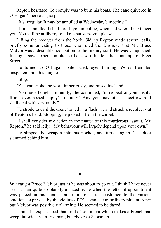Repton hesitated. To comply was to burn his boats. The cane quivered in O'Hagan's nervous grasp.

"It's irregular. It may be annulled at Wednesday's meeting."

"If it is annulled I shall thrash you in public, when and where I next meet you. You will be at liberty to take what steps you please."

Lifting the receiver from the hook, Sidney Repton made several calls, briefly communicating to those who ruled the *Universe* that Mr. Bruce McIvor was a desirable acquisition to the literary staff. He was vanquished. In aught save exact compliance he saw ridicule—the contempt of Fleet Street.

He turned to O'Hagan, pale faced, eyes flaming. Words trembled unspoken upon his tongue.

"Stop!"

O'Hagan spoke the word imperiously, and raised his hand.

"You have bought immunity," he continued, "in respect of your insults from 'overdressed puppy' to 'bully.' Any you may utter henceforward I shall deal with separately."

He strode toward the door; turned in a flash . . . and struck a revolver out of Repton's hand. Stooping, he picked it from the carpet.

"I shall consider my action in the matter of this murderous assault, Mr. Repton," he said icily. "My behaviour will largely depend upon your own."

He slipped the weapon into his pocket, and turned again. The door slammed behind him.

—————

#### **II.**

WE caught Bruce McIvor just as he was about to go out. I think I have never seen a man quite so blankly amazed as he when the letter of appointment was placed in his hand. I am more or less accustomed to the various emotions expressed by the victims of O'Hagan's extraordinary philanthropy; but McIvor was positively alarming. He seemed to be dazed.

I think he experienced that kind of sentiment which makes a Frenchman weep, intoxicates an Irishman, but chokes a Scotsman.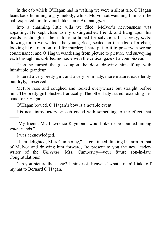In the cab which O'Hagan had in waiting we were a silent trio. O'Hagan leant back humming a gay melody, whilst McIvor sat watching him as if he half expected him to vanish like some Arabian *ginn*.

Into a charming little villa we filed. McIvor's nervousness was appalling. He kept close to my distinguished friend, and hung upon his words as though in them alone he hoped for salvation. In a pretty, *petite* drawing-room we waited; the young Scot, seated on the edge of a chair, looking like a man on trial for murder; I hard put to it to preserve a serene countenance; and O'Hagan wandering from picture to picture, and surveying each through his uplifted monocle with the critical gaze of a connoisseur.

Then he turned the glass upon the door, drawing himself up with inimitable grandeur

Entered a very pretty girl, and a very prim lady, more mature; excellently but dryly, preserved.

McIvor rose and coughed and looked everywhere but straight before him. The pretty girl blushed frantically. The other lady stared, extending her hand to O'Hagan.

O'Hagan bowed. O'Hagan's bow is a notable event.

His neat introductory speech ended with something to the effect that

"My friend, Mr. Lawrence Raymond, would like to be counted among *your* friends."

I was acknowledged.

——

"I am delighted, Miss Cumberley," he continued, linking his arm in that of McIvor and drawing him forward, "to present to you the new leaderwriter of the *Universe*. Mrs. Cumberley—your future son-in-law. Congratulations!"

Can you picture the scene? I think not. Heavens! what a man! I take off my hat to Bernard O'Hagan.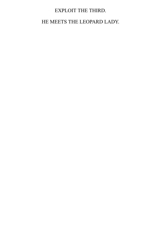## EXPLOIT THE THIRD.

## HE MEETS THE LEOPARD LADY.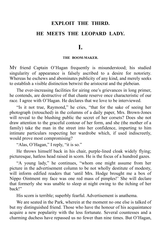# **EXPLOIT THE THIRD. HE MEETS THE LEOPARD LADY.**

**I.**

#### **THE BOOM-MAKER.**

My friend Captain O'Hagan frequently is misunderstood; his studied singularity of appearance is falsely ascribed to a desire for notoriety. Whereas he eschews and abominates publicity of any kind, and merely seeks to establish a visible distinction betwixt the aristocrat and the plebeian.

The ever-increasing facilities for airing one's grievances in long primer, he contends, are destructive of that chaste reserve once characteristic of our race. I agree with O'Hagan. He declares that we love to be interviewed.

"Is it not true, Raymond," he cries, "that for the sake of seeing her photograph (retouched) in the columns of a daily paper, Mrs. Brown-Jones will reveal to the blushing public the secret of her corsets? Does she not draw attention to the graceful contour of her form, and she (the mother of a family) take the man in the street into her confidence, imparting to him intimate particulars respecting her wardrobe which, if used indiscreetly, would prove most compromising?

"Alas, O'Hagan," I reply, "it is so."

He throws himself back in his chair, purple-lined cloak widely flying; picturesque, hatless head raised in scorn. He is the focus of a hundred gazes.

"A young lady," he continues, "whom one might assume from her picture in the advertisement column to be not wholly destitute of modesty, will inform edified readers that 'until Mrs. Hodge brought me a box of Nippo Ointment my face was one red mass of pimples!' She will declare that formerly she was unable to sleep at night owing to the itching of her back!"

His scorn is terrible; superbly fearful. Advertisement is anathema.

We are seated in the Park, wherein at the moment no one else is talked of but my distinguished friend. Those who have the honour of his acquaintance acquire a new popularity with the less fortunate. Several countesses and a charming duchess have repassed us no fewer than nine times. But O'Hagan,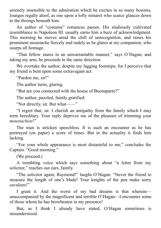serenely insensible to the admiration which he excites in so many bosoms, lounges regally aloof, as one upon a lofty minaret who scarce glances down to the throngs beneath him.

An author of "costume" romances passes. His studiously cultivated resemblance to Napoleon III. usually earns him a buzz of acknowledgment. This morning he moves amid the chill of unrecognition, and raises his prominent moustache fiercely and rudely as he glares at my companion, who usurps all homage.

"That fellow stares in an unwarrantable manner," says O'Hagan; and taking my arm, he proceeds in the same direction.

We overtake the author, despite my lagging footsteps; for I perceive that my friend is bent upon some extravagant act.

"Pardon me, sir!"

The author turns, glaring.

"But are you connected with the house of Buonaparte?"

The author, puzzled, faintly gratified:

"Not directly, sir. But what——"

"I regret that, sir. I cherish an antipathy from the family which I may term hereditary. Your reply deprives me of the pleasure of trimming your *moustachios*!"

The man is stricken speechless. It is such an encounter as he has portrayed (on paper) a score of times. But in the actuality it finds him lacking.

"For your whole appearance is most distasteful to me," concludes the Captain. "Good morning."

(We proceed.)

A trembling voice which says something about "a letter from my solicitor," reaches our ears, faintly.

"The solicitor again, Raymond!" laughs O'Hagan. "Never the friend to measure the length of one's blade! Your knights of the pen make sorry cavaliers!"

I grant it. And the worst of my bad dreams is that wherein unaccompanied by the magnificent and terrible O'Hagan—I encounter some of those whom he has browbeaten in my presence!

But, as I think I already have stated, O'Hagan sometimes is misunderstood.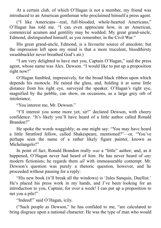At a certain club, of which O'Hagan is not a member, my friend was introduced to an American gentleman who proclaimed himself a press agent.

("I like Americans—real, full-blooded, whole-hearted Americans," O'Hagan has told me. "I can even appreciate how, in an American, commercial acumen and gentility may be wedded. My great grand-uncle, Edmond, distinguished himself, as you remember, in the Civil War."

His great grand-uncle, Edmond, is a favourite source of anecdote; but the impression left upon my mind is that a more truculent, bloodthirsty swashbuckler never breathed God's air.)

"I am very delighted to have met you, Captain O'Hagan," said the press agent, whose name was Alex. Dewson. "I would like to put up a proposition right now!"

O'Hagan fumbled, impressively, for the broad black ribbon upon which depends his monocle. He raised the glass, and, holding it at some little distance from his right eye, surveyed the speaker. O'Hagan's right eye, magnified by the pebble, can show, on occasions, as a large grey orb of intolerance.

"You interest me, Mr. Dewson."

"I'll interest you some more yet, sir!" declared Dewson, with cheery confidence. "It's likely you'll have heard of a little author called Ronald Brandon?"

He spoke the words waggishly; as one might say: "You may have heard a little Stratford fellow, called Shakespeare, mentioned?"—or, "You've perhaps seen the name of a rather likely figure painter, known as Michelangelo?"

In point of fact, Ronald Brandon really *was* a "little" author; and, as it happened, O'Hagan never had heard of him. He has never heard of *any* modern fictionists; he regards them *all* with immeasurable contempt. Mr. Dewson's question was purely a rhetoric question, however, and he proceeded without pausing for a reply:

"His new book (it'll break all the windows) is 'Jules Sanquin, Duellist.' He's placed his press work in my hands, and I've been looking for an introduction to you, Captain, for over a week! I can put up a proposition to net you a pile!"

"Indeed!" said O'Hagan, icily.

("Such people as Dewson," he has confided to me, "are calculated to bring disgrace upon a national character. He was the type of man who would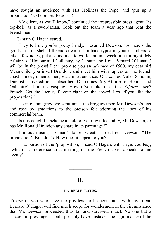have sought an audience with His Holiness the Pope, and 'put up a proposition' to boom St. Peter's.")

"My client, as you'll know," continued the irrepressible press agent, "is top-hole as a swordsman. Took out the team a year ago that beat the Frenchmen."

Captain O'Hagan stared.

"They tell me *you're* pretty handy," resumed Dewson; "so here's the goods in a nutshell: I'll send down a shorthand-typist to your chambers to take a few notes; put a sound man to work; and in a week or a fortnight 'My Affaires of Honour and Gallantry, by Captain the Hon. Bernard O'Hagan,' will be in the press! I can promise you an *advance* of £500, my dear sir! Meanwhile, you insult Brandon, and meet him with rapiers on the French coast—press, cinema men, etc., in attendance. Out comes 'Jules Sanquin, Duellist'—five editions subscribed. Out comes 'My Affaires of Honour and Gallantry'—libraries gasping! How d'you like the title? *Affaires*—see? French. Get the literary flavour right on the cover! How d'you like the proposition?"

The intolerant grey eye scrutinized the brogues upon Mr. Dewson's feet and rose by gradations to the Stetson felt adorning the apex of his commercial brain.

"Is this delightful scheme a child of your own fecundity, Mr. Dewson, or has Mr. Ronald Brandon any share in its parentage?"

"I'm out raising no man's laurel wreaths," declared Dewson. "The proposition's Brandon's. How does it appeal to you?

"That portion of the 'proposition,' " said O'Hagan, with frigid courtesy, "which has reference to a meeting on the French coast appeals to me keenly!"

# **II.**

—————

#### **LA BELLE LOTUS.**

THOSE of you who have the privilege to be acquainted with my friend Bernard O'Hagan will find much scope for wonderment in the circumstance that Mr. Dewson proceeded thus far and survived, intact. No one but a successful press agent could possibly have mistaken the significance of the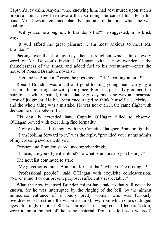Captain's icy calm. Anyone who, knowing him, had adventured upon such a proposal, must have been aware that, so doing, he carried his life in his hand. Mr. Dewson remained placidly ignorant of the fires which he was coaling.

"Will you come along now to Brandon's flat?" he suggested, in his brisk way.

"It will afford me great pleasure. I am most anxious to meet Mr. Brandon!"

Passing over the short journey, then—throughout which almost every word of Mr. Dewson's inspired O'Hagan with a new wonder at the shamelessness of the times, and added fuel to his resentment—enter the house of Ronald Brandon, novelist.

"Here he is, Brandon!" cried the press agent. "He's coming in on it!"

Ronald Brandon was a tall and good-looking young man, carrying a certain athletic arrogance with poor grace. From his perfectly groomed fair hair to his white spatted, immaculately glossy boots he was an incarnate error of judgment. He had been encouraged to think himself a celebrity and the whole thing was a mistake. He was not even in the same flight with the double of Napoleon III.

His casually extended hand Captain O'Hagan failed to observe. O'Hagan bowed with exceeding fine formality.

"Going to have a little bout with me, Captain?" laughed Brandon lightly.

"I am looking forward to it," was the reply, "provided your status admits of my crossing swords with you."

Dewson and Brandon stared uncomprehendingly.

"I mean, are you of gentle blood? To what Brandons do you belong?"

The novelist continued to stare.

"My governor is James Brandon, K.C., if that's what you're driving at!"

"Professional people?" said O'Hagan with exquisite condescension. "Never mind. For our present purpose, sufficiently respectable."

What the now incensed Brandon might have said to that will never be known, for he was interrupted by the ringing of the bell, by the almost immediate entrance of a loudly pretty woman who was furiously overdressed, who struck the vision a sharp blow, from which one's outraged eyes blinkingly recoiled. She was arrayed in a long coat of leopard's skin, wore a motor bonnet of the same material, from the left side whereof,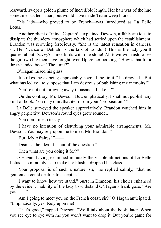rearward, swept a golden plume of incredible length. Her hair was of the hue sometimes called Titian, but would have made Titian weep blood.

This lady—who proved to be French—was introduced as La Belle Lotus.

"Another client of mine, Captain!" explained Dewson, affably anxious to dissipate the thundery atmosphere which had settled upon the establishment. Brandon was scowling ferociously. "She is the latest sensation in dancers, sir. Her 'Dance of Delilah' is the talk of London! This is the lady you'll quarrel about. Savvy? Three birds with one stone! All town will rush to see the girl two big men have fought over. Up go her bookings! How's that for a three-handed boost? The limit?"

O'Hagan raised his glass.

"It strikes me as being appreciably beyond the limit!" he drawled. "But what has led you to suppose that I am desirous of publishing my memoirs?"

"You're not out throwing away thousands, I take it?"

"On the contrary, Mr. Dewson. But, emphatically, I shall not publish any kind of book. You may omit that item from your 'proposition.'<sup>"</sup>

La Belle surveyed the speaker appreciatively. Brandon watched him in angry perplexity. Dewson's round eyes grew rounder.

"You don't mean to say——"

"I have no intention of disturbing your admirable arrangements, Mr. Dewson. You may rely upon me to meet Mr. Brandon."

"But 'My Affaires' "——

"Dismiss the idea. It is out of the question."

"Then what are you doing it for?"

O'Hagan, having examined minutely the visible attractions of La Belle Lotus—so minutely as to make her blush—dropped his glass.

"Your proposal is of such a nature, sir," he replied calmly, "that no gentleman could decline to accept it."

"I want to know how we stand," burst in Brandon, his choler enhanced by the evident inability of the lady to withstand O'Hagan's frank gaze. "Are you—"

"Am I going to meet you on the French coast, sir?" O'Hagan anticipated. "Emphatically, yes! Rely upon me!"

"That's good," rapped Dewson. "We'll talk about the book, later. When you see eye to eye with me you won't want to drop it. But you're game for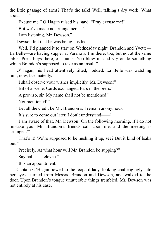the little passage of arms? That's the talk! Well, talking's dry work. What about——"

"Excuse me." O'Hagan raised his hand. "Pray excuse me!"

"But we've made no arrangements."

"I am listening, Mr. Dewson."

Dewson felt that he was being hustled.

"Well, I'd planned it to start on Wednesday night. Brandon and Yvette— La Belle—are having supper at Varano's. I'm there, too; but not at the same table. Press boys there, of course. You blow in, and say or do something which Brandon's supposed to take as an insult."

O'Hagan, his head attentively tilted, nodded. La Belle was watching him, now, fascinatedly.

"I shall observe your wishes implicitly, Mr. Dewson!"

"Bit of a scene. Cards exchanged. Pars in the press."

"A proviso, sir. My name shall not be mentioned."

"Not mentioned!"

"Let all the credit be Mr. Brandon's. I remain anonymous."

"It's sure to come out later. I don't understand——"

"I am aware of that, Mr. Dewson! On the following morning, if I do not mistake you, Mr. Brandon's friends call upon me, and the meeting is arranged?"

"That's it! We're supposed to be hushing it up, see? But it kind of leaks out!"

"Precisely. At what hour will Mr. Brandon be supping?"

"Say half-past eleven."

"It is an appointment."

Captain O'Hagan bowed to the leopard lady, looking challengingly into her eyes—turned from Messrs. Brandon and Dewson, and walked to the door. Upon Brandon's tongue unutterable things trembled. Mr. Dewson was not entirely at his ease.

—————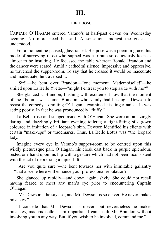# **III.**

#### **THE BOOM.**

CAPTAIN O'HAGAN entered Varano's at half-past eleven on Wednesday evening. No more need be said. A sensation amongst the guests is understood.

For a moment he paused, glass raised. His pose was a poem in grace; his mode of surveying those who supped was a tribute so deliciously keen as almost to be insulting. He focussed the table whereat Ronald Brandon and the dancer were seated. Amid a cathedral silence, impressive and oppressive, he traversed the supper-room. To say that he crossed it would be inaccurate and inadequate; he traversed it.

"Sir!"—he bent over Brandon—"one moment. Mademoiselle!"—he smiled upon La Belle Yvette—"might I entreat you to step aside with me?"

She glanced at Brandon, flushing with excitement now that the moment of the "boom" was come. Brandon, who vainly had besought Dewson to recast the comedy—omitting O'Hagan—examined his finger nails. He was acting poorly. In fact he was pronouncedly "fluffy."

La Belle rose and stepped aside with O'Hagan. She wore an amazingly daring and dazzlingly brilliant evening toilette; a tight-fitting silk gown coloured in imitation of a leopard's skin. Dewson identified his clients with certain "make-ups" or trademarks. Thus, La Belle Lotus was "the leopard lady."

Imagine every eye in Varano's supper-room to be centred upon this wildly picturesque pair. O'Hagan, his cloak cast back in purple splendour, rested one hand upon his hip with a gesture which had not been inconsistent with the act of depressing a rapier hilt.

"Are you quite sure"—he bent towards her with inimitable gallantry —"that a scene here will enhance your professional reputation?"

She glanced up rapidly—and down again, shyly. She could not recall having feared to meet any man's eye prior to encountering Captain O'Hagan.

"Mr. Dewson—he says so; and Mr. Dewson is so clever. He never makes mistakes."

"I concede that Mr. Dewson is clever; but nevertheless he makes mistakes, mademoiselle. I am impartial. I can insult Mr. Brandon without involving you in any way. But, if you wish to be involved, command me."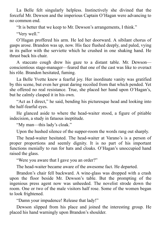La Belle felt singularly helpless. Instinctively she divined that the forceful Mr. Dewson and the imperious Captain O'Hagan were advancing to no common end.

"It is better that we keep to Mr. Dewson's arrangements, I think."

"Very well."

O'Hagan proffered his arm. He led her doorward. A sibilant chorus of gasps arose. Brandon was up, now. His face flushed deeply, and paled, vying in its pallor with the serviette which he crushed in one shaking hand. He thrust back his chair.

A staccato cough drew his gaze to a distant table. Mr. Dewson conscientious stage-manager—feared that one of the cast was like to overact his rôle. Brandon hesitated, fuming.

La Belle Yvette knew a fearful joy. Her inordinate vanity was gratified by this scene, but even her great daring recoiled from that which pended. Yet she offered no real resistance. True, she placed her hand upon O'Hagan's, but he calmly clasped it in his own.

"Act as I direct," he said, bending his picturesque head and looking into the half-fearful eyes.

He glanced aside to where the head-waiter stood, a figure of pitiable indecision, a study in fatuous ineptitude.

"My man—this lady's cloak."

Upon the hushed silence of the supper-room the words rang out sharply.

The head-waiter hesitated. The head-waiter at Varano's is a person of proper proportions and seemly dignity. It is no part of his important functions menially to run for hats and cloaks. O'Hagan's unoccupied hand raised the glass.

"Were you aware that I gave you an order?"

The head-waiter became aware of the awesome fact. He departed.

Brandon's chair fell backward. A wine-glass was dropped with a crash upon the floor beside Mr. Dewson's table. But the prompting of the ingenious press agent now was unheeded. The novelist strode down the room. One or two of the male visitors half rose. Some of the women began to look frightened.

"Damn your impudence! Release that lady!"

Dewson slipped from his place and joined the interesting group. He placed his hand warningly upon Brandon's shoulder.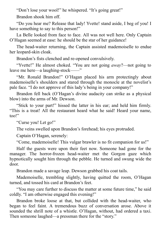"Don't lose your wool!" he whispered. "It's going great!"

Brandon shook him off.

"Do you hear me? Release that lady! Yvette! stand aside, I beg of you! I have something to say to this person!"

La Belle looked from face to face. All was not well here. Only Captain O'Hagan seemed at ease: he should be the star of her guidance!

The head-waiter returning, the Captain assisted mademoiselle to endue her leopard-skin cloak.

Brandon's fists clenched and re-opened convulsively.

"Yvette!" He almost choked. "You are not going *away*?—not going to leave me here—a laughing-stock——"

"Mr. Ronald Brandon!" O'Hagan placed his arm protectingly about mademoiselle's shoulders and stared through the monocle at the novelist's pale face. "I do not approve of this lady's being in your company!"

Brandon fell back (O'Hagan's divine audacity can strike as a physical blow) into the arms of Mr. Dewson.

"Stick to your part!" hissed the latter in his ear; and held him firmly. "This is a treat! All the restaurant heard what he said! Heard your name, too!"

"Curse you! Let go!"

The veins swelled upon Brandon's forehead; his eyes protruded.

Captain O'Hagan, serenely:

"Come, mademoiselle! This vulgar brawler is no fit companion for us!"

Half the guests were upon their feet now. Someone had gone for the manager. The horror-frozen head-waiter met the Gorgon gaze which hypnotically sought him through the pebble. He turned and swung wide the door.

Brandon made a savage leap. Dewson grabbed his coat tails.

Mademoiselle, trembling slightly, having quitted the room, O'Hagan turned, and tossed his card at Brandon's feet.

"You may care further to discuss the matter at some future time," he said coldly. "I am otherwise engaged this evening!"

Brandon broke loose at that, but collided with the head-waiter, who began to feel faint. A tremendous buzz of conversation arose. Above it sounded the shrill note of a whistle. O'Hagan, without, had ordered a taxi. Then someone laughed—a pressman there for the "story."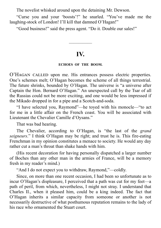The novelist whisked around upon the detaining Mr. Dewson.

"Curse you and your 'boosts'!" he snarled. "You've made me the laughing-stock of London! I'll kill that damned O'Hagan!"

"Good business!" said the press agent. "Do it. Double our sales!"

## **IV.**

—————

#### **ECHOES OF THE BOOM.**

O'HAGAN CALLED upon me. His entrances possess electric properties. One's schemes melt; O'Hagan becomes the scheme of all things terrestrial. The future shrinks, bounded by O'Hagan. The universe is "a universe after Captain the Hon. Bernard O'Hagan." An unexpected call by the Tsar of all the Russias could not be more exciting, and one would be less impressed if the Mikado dropped in for a pipe and a Scotch-and-soda.

"I have selected you, Raymond"—he toyed with his monocle—"to act for me in a little affair on the French coast. You will be associated with Lieutenant the Chevalier Camille d'Oysans."

That was bad hearing.

The Chevalier, according to O'Hagan, is "the last of the *grand seigneurs*." I think O'Hagan may be right; and trust he is. This fire-eating Frenchman in my opinion constitutes a menace to society. He would any day rather cut a man's throat than shake hands with him.

(His recent decoration for having personally dispatched a larger number of Boches than any other man in the armies of France, will be a memory fresh in my reader's mind.)

"And I do not expect you to withdraw, Raymond,"—coldly.

Since, on more than one recent occasion, I had been so unfortunate as to incur O'Hagan's displeasure, I perceived that a path was cut for my feet—a path of peril, from which, nevertheless, I might not stray. I understand that Charles II., when it pleased him, could be a king indeed. The fact that O'Hagan inherits a similar capacity from someone or another is not necessarily destructive of what posthumous reputation remains to the lady of his race who ornamented the Stuart court.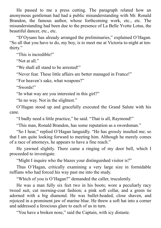He passed to me a press cutting. The paragraph related how an anonymous gentleman had had a public misunderstanding with Mr. Ronald Brandon, the famous author, whose forthcoming work, etc., etc. The misunderstanding had been due to the presence of La Belle Yvette Lotus, the beautiful dancer, etc., etc.

"D'Oysans has already arranged the preliminaries," explained O'Hagan. "So all that you have to do, my boy, is to meet me at Victoria to-night at tenthirty."

"This is incredible!"

"Not at all."

"We shall all stand to be arrested!"

"Never fear. These little affairs are better managed in France!"

"For heaven's sake, what weapons?"

"Swords!"

"In what way are you interested in this girl?"

"In no way. Not in the slightest."

O'Hagan stood up and gracefully executed the Grand Salute with his cane.

"I badly need a little practice," he said. "That is all, Raymond!"

"This man, Ronald Brandon, has some reputation as a swordsman."

"So I hear," replied O'Hagan languidly. "He has grossly insulted me; so that I am quite looking forward to meeting him. Although he merely comes of a race of attorneys, he appears to have a fine reach."

He yawned slightly. There came a ringing of my door bell, which I proceeded to investigate.

"Might I inquire who the blazes your distinguished visitor is?"

Thus O'Hagan, critically examining a very large size in formidable ruffians who had forced his way past me into the study.

"Which of you is O'Hagan?" demanded the caller, truculently.

He was a man fully six feet two in his boots; wore a peculiarly racy tweed suit, cut morning-coat fashion; a pink soft collar, and a green tie adorned with a big diamond. He was bullet-headed, close shaven, and rejoiced in a prominent jaw of marine blue. He threw a soft hat into a corner and addressed a ferocious glare to each of us in turn.

"You have a broken nose," said the Captain, with icy distaste.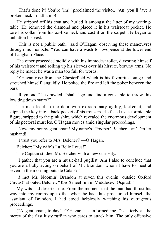"That's done it! You're 'im!" proclaimed the visitor. "An' you'll 'ave a broken neck in 'alf a mo!"

He stripped off his coat and hurled it amongst the litter of my writingtable. He removed the diamond and placed it in his waistcoat pocket. He tore his collar from his ox-like neck and cast it on the carpet. He began to unbutton his vest.

"This is not a public bath," said O'Hagan, observing these manœuvres through his monocle. "You can have a wash for twopence at the lower end of Langham Place."

The other proceeded stolidly with his immodest toilet, divesting himself of his waistcoat and rolling up his sleeves over his hirsute, brawny arms. No reply he made; he was a man too full for words.

O'Hagan rose from the Chesterfield which is his favourite lounge and stretched himself languidly. He poked the fire and left the poker between the bars.

"Raymond," he drawled, "shall I go and find a constable to throw this low dog down stairs?"

The man leapt to the door with extraordinary agility, locked it, and slipped the key into a back pocket of his trousers. He faced us, a formidable figure, stripped to the pink shirt, which revealed the enormous development of his pectoral muscles. O'Hagan moves amid singular proceedings.

"Now, my bonny gentleman! My name's 'Trooper' Belcher—an' I'm 'er husband!"

"I trust you refer to Mrs. Belcher?"—O'Hagan.

Belcher: "My wife's La Belle Lotus!"

The Captain studied Mr. Belcher with a new curiosity.

"I gather that you are a music-hall pugilist. Am I also to conclude that you are a bully acting on behalf of Mr. Brandon, whom I have to meet at seven in the morning outside Calais?"

"*I* met Mr. bloomin' Brandon at seven this evenin' outside Oxford Circus!" shouted Belcher. "*You'll* meet 'im in Middlesex 'Ospital!"

My wits had deserted me. From the moment that the man had thrust his way into my rooms up to that when he had thus proclaimed himself the assailant of Brandon, I had stood helplessly watching his outrageous proceedings.

("A gentleman, to-day," O'Hagan has informed me, "is utterly at the mercy of the first lusty ruffian who cares to attack him. The only offensive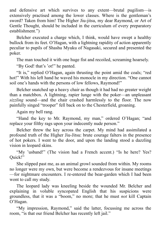and defensive art which survives to any extent—brutal pugilism—is extensively practised among the lower classes. Where is the gentleman's sword? Taken from him! The Higher Jiu-jitsu, my dear Raymond, or Art of Gentle Thought, should be included in the curriculum of every preparatory establishment.")

Belcher executed a charge which, I think, would have swept a healthy bullock from its feet. O'Hagan, with a lightning rapidity of action apparently peculiar to pupils of Shashu Myuku of Nagasaki, secured and presented the poker.

The man touched it with one huge fist and recoiled, screaming hoarsely.

"By God! that's 'ot!" he panted.

"It is," replied O'Hagan, again thrusting the point amid the coals; "red hot!" With his left hand he waved his monocle in my direction. "One cannot soil one's hands with the persons of low fellows, Raymond!"

Belcher snatched up a heavy chair as though it had had no greater weight than a matchbox. A lightning, rapier lunge with the poker—an unpleasant *sizzling* sound—and the chair crashed harmlessly to the floor. The now painfully singed "trooper" fell back on to the Chesterfield, groaning.

Again my bell rang.

"Hand the key to Mr. Raymond, my man," ordered O'Hagan; "and replace your filthy rags upon your indecently nude person."

Belcher threw the key across the carpet. My mind had assimilated a profound truth of the Higher Jiu-Jitsu: brute courage falters in the presence of hot pokers. I went to the door, and upon the landing stood a dazzling vision in leopard skins.

"My 'usband!" (The vision had a French accent.) "Is he here? Yes? Quick!"

She slipped past me, as an animal growl sounded from within. My rooms no longer were my own, but were become a rendezvous for insane meetings —for nightmare encounters. I re-entered the bear-garden which I had been wont to call my study.

The leopard lady was kneeling beside the wounded Mr. Belcher and explaining in voluble syncopated English that his suspicions were groundless, that it was a "boom," no more; that he must *not* kill Captain O'Hagan.

"My impression, Raymond," said the latter, focussing me across the room, "is that our friend Belcher has recently left jail."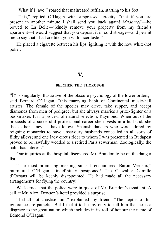"What if I 'ave!" roared that maltreated ruffian, starting to his feet.

"This," replied O'Hagan with suppressed ferocity, "that if you are present in another minute I shall send you back again! *Madame!*"—he bowed to La Belle—"kindly remove your property from my friend's apartment—I would suggest that you deposit it in cold storage—and permit me to say that I had credited you with nicer taste!"

He placed a cigarette between his lips, igniting it with the now white-hot poker.

### **V.**

—————

#### **BELCHER THE THOROUGH.**

"It is singularly illustrative of the obscure psychology of the lower orders," said Bernard O'Hagan, "this marrying habit of Continental music-hall artistes. The female of the species may drive, take supper, and accept diamonds from men of pedigree; but she always marries a prize-fighter or a bookmaker. It is a process of natural selection, Raymond. When out of the proceeds of a successful professional career she invests in a husband, she 'backs her fancy.' I have known Spanish dancers who were adored by reigning monarchs to have unsavoury husbands concealed in all sorts of filthy alleys; and one lady circus rider to whom I was presented in Budapest proved to be lawfully wedded to a retired Paris sewerman. Zoologically, the habit has interest."

Our inquiries at the hospital discovered Mr. Brandon to be on the danger list.

"The most promising meeting since I encountered Baron Verneux," murmured O'Hagan, "indefinitely postponed! The Chevalier Camille d'Oysans will be keenly disappointed. He had made all the necessary arrangements for flying the country!"

We learned that the police were in quest of Mr. Brandon's assailant. A call at Mr. Alex. Dewson's hotel provided a surprise.

"I shall not chastise him," explained my friend. "The depths of his ignorance are pathetic. But I feel it to be my duty to tell him that he is a disgrace to the great nation which includes in its roll of honour the name of Edmond O'Hagan."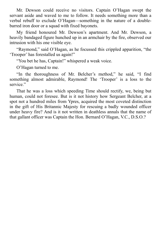Mr. Dewson could receive no visitors. Captain O'Hagan swept the servant aside and waved to me to follow. It needs something more than a verbal rebuff to exclude O'Hagan—something in the nature of a doublebarred iron door or a squad with fixed bayonets.

My friend honoured Mr. Dewson's apartment. And Mr. Dewson, a heavily bandaged figure hunched up in an armchair by the fire, observed our intrusion with his one visible eye.

"Raymond," said O'Hagan, as he focussed this crippled apparition, "the 'Trooper' has forestalled us again!"

"You bet he has, Captain!" whispered a weak voice.

O'Hagan turned to me.

"In the thoroughness of Mr. Belcher's method," he said, "I find something almost admirable, Raymond! The 'Trooper' is a loss to the service."

That he was a loss which speeding Time should rectify, we, being but human, could not foresee. But is it not history how Sergeant Belcher, at a spot not a hundred miles from Ypres, acquired the most coveted distinction in the gift of His Britannic Majesty for rescuing a badly wounded officer under heavy fire? And is it not written in deathless annals that the name of that gallant officer was Captain the Hon. Bernard O'Hagan, V.C., D.S.O.?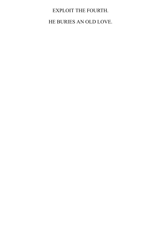# EXPLOIT THE FOURTH. HE BURIES AN OLD LOVE.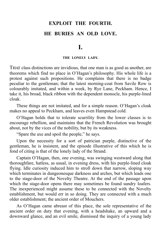# **EXPLOIT THE FOURTH. HE BURIES AN OLD LOVE.**

## **I.**

#### **THE LONELY LADY.**

THAT class distinctions are invidious, that one man is as good as another, are theorems which find no place in O'Hagan's philosophy. His whole life is a protest against such propositions. He complains that there is no badge peculiar to the gentleman; that the latest morning-coat from Savile Row is colourably imitated, and within a week, by Rye Lane, Peckham. Hence, I take it, his broad, black ribbon with the dependent monocle, his purple-lined cloak.

These things are not imitated, and for a simple reason. O'Hagan's cloak makes no appeal to Peckham, and leaves even Hampstead cold.

O'Hagan holds that to tolerate scurrility from the lower classes is to encourage rebellion, and maintains that the French Revolution was brought about, not by the vices of the nobility, but by its weakness.

"Spare the axe and spoil the people," he says.

Upon the necessity for a sort of patrician purple, distinctive of the gentleman, he is insistent, and the episode illustrative of this which he is fond of citing is that of the lonely lady of the Strand.

Captain O'Hagan, then, one evening, was swinging westward along that thoroughfare, hatless, as usual, in evening dress, with his purple-lined cloak flying. Idle curiosity induced him to stroll down that narrow, sloping way which terminates in dungeonesque darkness and arches, but which leads one to the stage-door of the Novelty Theatre. At the end of the passage upon which the stage-door opens there may sometimes be found sundry loafers. The inexperienced might assume these to be connected with the Novelty establishment, but would err in so doing. They are connected with a much older establishment; the ancient order of Mouchers.

As O'Hagan came abreast of this place, the sole representative of the ancient order on duty that evening, with a headshake, an upward and a downward glance, and an evil smile, dismissed the inquiry of a young lady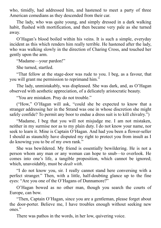who, timidly, had addressed him, and hastened to meet a party of three American comedians as they descended from their car.

The lady, who was quite young, and simply dressed in a dark walking habit, flushed with mortification, and then became very pale as she turned away.

O'Hagan's blood boiled within his veins. It is such a simple, everyday incident as this which renders him really terrible. He hastened after the lady, who was walking slowly in the direction of Charing Cross, and touched her gently upon the arm.

"Madame—your pardon!"

She turned, startled.

"That fellow at the stage-door was rude to you. I beg, as a favour, that you will grant me permission to reprimand him."

The lady, unmistakably, was displeased. She was dark, and, as O'Hagan observed with aesthetic appreciation, of a delicately aristocratic beauty.

"You are mistaken. Pray do not trouble."

("How," O'Hagan will ask, "could she be expected to know that a stranger addressing her in the Strand was one in whose discretion she might safely confide? To permit any boor to endue a dress suit is to kill chivalry.")

"Madame, I beg that you will not misjudge me. I am not mistaken, neither in my surmise nor as to my plain duty. I do not know your name, nor seek to learn it. Mine is Captain O'Hagan. And had you been a flower-seller I should as staunchly have disputed my right to protect you from insult as I do knowing you to be of my own rank."

She was bewildered. My friend is essentially bewildering. He is not a person whom any man or any woman can hope to snub—to overlook. He comes into one's life, a tangible proposition, which cannot be ignored; which, unavoidably, must be *dealt with*.

"I do not know you, sir. I really cannot stand here conversing with a perfect stranger." Then, with a little, half-doubting glance up to the fine eyes: "Are you one of the O'Hagans of Dunnamore?"

O'Hagan bowed as no other man, though you search the courts of Europe, can bow.

"Then, Captain O'Hagan, since you are a gentleman, please forget about the door-porter. Believe me, I have troubles enough without seeking new ones."

There was pathos in the words, in her low, quivering voice.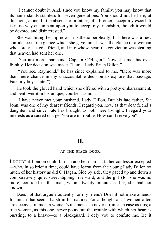"I cannot doubt it. And, since you know my family, you may know that its name stands stainless for seven generations. You should not be here, at this hour, alone. In the absence of a father, of a brother, accept my escort. It is in no way encumbent upon you to accept my friendship, though it would be devoted and disinterested."

She was biting her lip now, in pathetic perplexity; but there was a new confidence in the glance which she gave him. It was the glance of a woman who sorely lacked a friend, and into whose heart the conviction was stealing that heaven had sent her one.

"You are more than kind, Captain O'Hagan." Now she met his eyes frankly. Her decision was made. "I am—Lady Brian Dillon."

("You see, Raymond," he has since explained to me, "there was more than mere chance in my unaccountable decision to explore that passage. Fate, my boy—fate!")

He took the gloved hand which she offered with a pretty embarrassment, and bent over it in his unique, courtier fashion.

"I have never met your husband, Lady Dillon. But his late father, Sir John, was one of my dearest friends. I regard you, now, as that dear friend's daughter, and since Fate has brought us both here to-night, I regard your interests as a sacred charge. You are in trouble. How can I serve you?"

## **II.**

—————

#### **AT THE STAGE DOOR.**

I DOUBT if London could furnish another man—a father confessor excepted —who, in so brief a time, could have learnt from the young Lady Dillon so much of her history as did O'Hagan. Side by side, they paced up and down a comparatively quiet street dipping riverward, and the girl (for she was no more) confided in this man, whom, twenty minutes earlier, she had not known.

Does not that argue eloquently for my friend? Does it not make amends for much that seems harsh in his nature? For although, alas! women often are deceived in men, a woman's instincts can never err in such case as this; a true woman, as this one, never pours out the trouble with which her heart is bursting, to a knave—to a blackguard. I defy you to confute me. Be it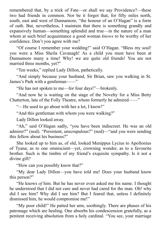remembered that, by a trick of Fate—or shall we say Providence?—these two had friends in common. Nor be it forgot that, for fifty miles north, south, east and west of Dunnamore, "the honour of an O'Hagan" is a form of oath. But, nevertheless, I maintain that there is something grandly and expansively human—something splendid and true—in the nature of a man whom at such brief acquaintance a good woman *knows* to be worthy of her confidence. Don't you agree with me?

"Of course I remember your wedding!" said O'Hagan. "Bless my soul! you were a Miss Sheila Cavanagh! As a child you must have been at Dunnamore many a time! Why! we are quite old friends! You are not married three months, yet?"

"Ten weeks," replied Lady Dillon, pathetically.

"And simply because your husband, Sir Brian, saw you walking in St. James's Park with a gentleman——"

"He has not spoken to me—for four days!"—brokenly.

"And now he is waiting on the stage of the Novelty for a Miss Betty Chatterton, late of the Folly Theatre, whom formerly he admired——"

"—He used to go about with her a lot, I know!"

"And this gentleman with whom you were walking?"

Lady Dillon looked away.

"Ah," said O'Hagan sadly, "you have been indiscreet. He was an old admirer?" (nod). "Persistent, unscrupulous?" (nod)—"and you were sending this fellow about his business?"

She looked up to him as, of old, looked Menippus Lycius to Apollonius of Tyana; as to one omniscient—yet, crowning wonder, as to a favourite brother. Such is the timbre of my friend's exquisite sympathy. Is it not a divine gift?

"How can you possibly know that?"

"My dear Lady Dillon—you have told me! Does your husband know this person?"

"He knows *of* him. But he has never even asked me his name. I thought he understood that I did not care and never had cared for the man. Oh! why did I see him? Why did I see him? But I feared that, unless I definitely dismissed him, he would compromise me!"

"My poor child!" He patted her arm, soothingly. There are phases of his patronage which are healing. One absorbs his condescension gratefully, as a penitent receiving absolution from a holy cardinal. "You see, your marriage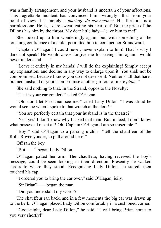was a family arrangement, and your husband is uncertain of your affections. This regrettable incident has convinced him—wrongly—that from your point of view it is merely a *mariage de convenance*. His flirtation is a harmless one. He is, I dare swear, eating his heart out! But the pride of the Dillons has him by the throat. My dear little lady—leave him to me!"

She looked up to him wonderingly again; but, with something of the touching confidence of a child, permitted him to conduct her Strandward.

"Captain O'Hagan! I could never, never explain to him! That is why I dare not speak! He would *never* forgive me for seeing him again—would never understand——"

"Leave it entirely in my hands! *I* will do the explaining! Simply accept my explanation, and decline in any way to enlarge upon it. You shall not be compromised, because I know you do not deserve it. Neither shall that harebrained husband of yours compromise another girl out of mere *pique*."

She said nothing to that. In the Strand, opposite the Novelty:

"That is your car yonder?" asked O'Hagan.

"Oh! don't let Priestman see me!" cried Lady Dillon. "I was afraid he would see me when I spoke to that wretch at the door!"

"You are perfectly certain that your husband is in the theatre?"

"Yes! yes! I don't know why I asked that man! But, indeed, I don't know what possessed me at all! Oh! Captain O'Hagan, I am so miserable!"

"Boy!" said O'Hagan to a passing urchin—"tell the chauffeur of the Rolls Royce yonder, to pull around here!"

Off ran the boy.

"But——" began Lady Dillon.

O'Hagan patted her arm. The chauffeur, having received the boy's message, could be seen looking in their direction. Presently he walked across to where they stood. Recognising Lady Dillon, he stared; then touched his cap.

"I ordered you to bring the car over," said O'Hagan, icily.

"Sir Brian"——began the man.

"Did you understand my words?"

The chauffeur ran back, and in a few moments the big car was drawn up to the kerb. O'Hagan placed Lady Dillon comfortably in a cushioned corner.

"Good-night, dear Lady Dillon," he said. "I will bring Brian home to you very shortly!"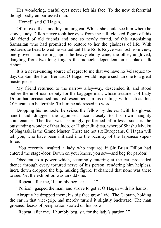Her wondering, tearful eyes never left his face. To the now deferential though badly embarrassed man:

"Home!" said O'Hagan.

Off moved the smoothly-running car. Whilst she could see him where he stood, Lady Dillon never took her eyes from the tall, cloaked figure of this old friend of old friends and one so newly found, of this astonishing Samaritan who had promised to restore to her the gladness of life. With picturesque head bowed he waited until the Rolls Royce was lost from view, one gloved hand resting upon the heavy ebony cane, the other, ungloved, dangling from two long fingers the monocle dependent on its black silk ribbon.

It is a never-ending source of regret to me that we have no Velasquez today. Captain the Hon. Bernard O'Hagan would inspire such an one to a great masterpiece.

My friend returned to the narrow alley-way, descended it, and stood before the unofficial deputy for the baggage-man, whose treatment of Lady Dillon had occasioned his just resentment. In his dealings with such as this, O'Hagan can be terrible. To him he addressed no word.

Dropping his monocle, he seized the fellow by the ear (with his gloved hand) and dragged the agonised face closely to his own haughty countenance. The feat was seemingly performed effortless—such is the outstanding wonder of that Judo, or Higher Jiu-jitsu, whereof Shashu Myuku of Nagasaki is the Grand Master. There are not six Europeans, O'Hagan will tell you, who have been initiated into the occultry of the Japanese superforce.

"You recently insulted a lady who inquired if Sir Brian Dillon had entered the stage-door. Down on your knees, you sot—and beg for pardon!"

Obedient to a power which, seemingly entering at the ear, proceeded thence through every tortured nerve of his person, rendering him helpless, inert, down dropped the big, hulking figure. It chanced that none was there to see. Yet the exhibition was an odd one.

"Repeat, after me, 'I humbly beg, sir-<sup>"</sup>

"Police!" gasped the man, and strove to get at O'Hagan with his hands.

Abruptly he dropped them; his big face grew livid. The Captain, holding the ear in that vice-grip, had merely turned it slightly backward. The man groaned; beads of perspiration started on his brow.

"Repeat, after me, 'I humbly beg, sir, for the lady's pardon.' "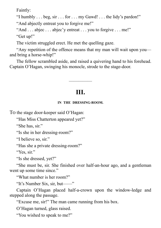Faintly:

"I humbly . . . beg, sir . . . for . . . my Gawd! . . . the lidy's pardon!"

"And abjectly entreat you to forgive me!"

"And . . . abjec . . . abjec'y entreat . . . you to forgive . . . me!" "Get up!"

The victim struggled erect. He met the quelling gaze.

"Any repetition of the offence means that my man will wait upon you and bring a horse-whip!"

The fellow scrambled aside, and raised a quivering hand to his forehead. Captain O'Hagan, swinging his monocle, strode to the stage-door.

# **III.**

—————

#### **IN THE DRESSING-ROOM.**

To the stage door-keeper said O'Hagan:

"Has Miss Chatterton appeared yet?"

"She has, sir."

"Is she in her dressing-room?"

"I believe so, sir."

"Has she a private dressing-room?"

"Yes, sir."

"Is she dressed, yet?"

"She must be, sir. She finished over half-an-hour ago, and a gentleman went up some time since."

"What number is her room?"

"It's Number Six, sir, but——"

Captain O'Hagan placed half-a-crown upon the window-ledge and stepped along the passage.

"Excuse me, sir!" The man came running from his box.

O'Hagan turned, glass raised.

"You wished to speak to me?"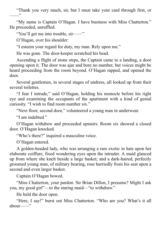"Thank you very much, sir, but I must take your card through first, or ——"

"My name is Captain O'Hagan. I have business with Miss Chatterton." He proceeded, unruffled.

"You'll get me into trouble, sir——"

O'Hagan, over his shoulder:

"I esteem your regard for duty, my man. Rely upon me."

He was gone. The door-keeper scratched his head.

Ascending a flight of stone steps, the Captain came to a landing, a door opening upon it. The door was ajar and bore no number, but voices might be heard proceeding from the room beyond. O'Hagan rapped, and opened the door.

Several gentlemen, in several stages of undress, all looked up from their several toilettes.

"I fear I intrude," said O'Hagan, holding his monocle before his right eye and examining the occupants of the apartment with a kind of genial curiosity. "I wish to find room number six."

"Next floor, second door," volunteered a young man in underwear.

"I am indebted."

O'Hagan withdrew and proceeded upstairs. Room six showed a closed door. O'Hagan knocked.

"Who's there?" inquired a masculine voice.

O'Hagan entered.

A golden-headed lady, who was arranging a rare exotic in hats upon her elaborate coiffure, fixed wondering eyes upon the intruder. A maid glanced up from where she knelt beside a large basket; and a dark-haired, perfectly groomed young man, of military bearing, rose hurriedly from his seat upon a second and even larger basket.

Captain O'Hagan bowed.

"Miss Chatterton, your pardon. Sir Brian Dillon, I presume? Might I ask you, my good girl"—to the staring maid—"to withdraw."

He held the door open.

"Here, I say!" burst out Miss Chatterton. "Who are you? What's it all about——"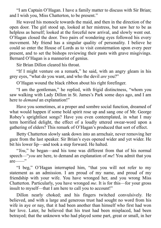"I am Captain O'Hagan. I have a family matter to discuss with Sir Brian; and I wish you, Miss Chatterton, to be present."

He waved his monocle towards the maid, and then in the direction of the open door. The girl stood up, looked at her mistress, but saw her to be as helpless as herself; looked at the forceful new arrival, and slowly went out. O'Hagan closed the door. Two pairs of wondering eyes followed his every movement. My friend has a singular quality of personality. I believe he could so enter the House of Lords as to visit consternation upon every peer present, and to set the bishops reviewing their pasts with grave misgivings. Bernard O'Hagan is a mannerist of genius.

Sir Brian Dillon cleared his throat.

"If I might venture on a remark," he said, with an angry gleam in his grey eyes, "what do you want, and who the devil *are* you?"

O'Hagan wound the black ribbon about his right forefinger.

"I am the gentleman," he replied, with frigid distinctness, "whom you saw walking with Lady Dillon in St. James's Park some days ago, and I am here to *demand* an explanation!"

Have you sometimes, at a proper and sombre social function, dreamed of what would happen if some bold spirit rose up and sang one of Mr. George Robey's sprightliest songs? Have you even contemplated, in what I may term horrified delight, the effect of a loudly uttered swear-word upon a gathering of elders? This remark of O'Hagan's produced that sort of effect.

Betty Chatterton slowly sank down into an armchair, never removing her gaze from the last speaker. Sir Brian's eyes opened wider and yet wider. He bit his lower lip—and took a step forward. He halted.

"*You*," he began—and his tone was different from that of his normal speech—"*you* are here, to demand an explanation of *me*! You admit that you are——"

"I beg," O'Hagan interrupted him, "that you will not refer to my statement as an admission. I am proud of my name, and proud of my friendship with your wife. You have wronged her, and you wrong Miss Chatterton. Particularly, you have wronged *me*. It is for this—for your gross insult to myself—that I am here to call you to account!"

Dillon nearly choked; and his fingers twitched convulsively. He believed, and with a large and generous trust had sought no word from his wife in aye or nay, that it had been another than himself who first had won her love. Later, he believed that his trust had been misplaced, had been betrayed; that the unknown who had played some part, great or small, in her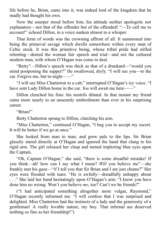life before he, Brian, came into it, was indeed lord of the kingdom that he madly had thought his own.

Now the usurper stood before him, his attitude neither apologetic nor explanatory—not that of the offender but of the offended! "—To call me to account!" echoed Dillon, in a voice sunken almost to a whisper.

That form of words was the crowning affront of all. It summoned into being the primeval savage which dwells somewhere within every man of Celtic stock. It was this primitive being, whose tribal pride had stifled relenting—denied the woman fair speech and trial—and not the cultured modern man, with whom O'Hagan was come to deal.

"Betty"—Dillon's speech was thick as that of a drunkard—"would you mind postponing the supper?" He swallowed, dryly. "I will see you—to the car. Forgive me, but to-night——"

"*I* will see Miss Chatterton to a cab," interrupted O'Hagan's icy voice. "I have sent Lady Dillon home in the car. *You* will await me here——"

Dillon clenched his fists: his nostrils dilated. In that instant my friend came more nearly to an unseemly embroilment than ever in his surprising career.

"Brian!"

Betty Chatterton sprang to Dillon, clutching his arm.

"Miss Chatterton," continued O'Hagan, "I beg you to accept my escort. It will be better if we go at once."

She looked from man to man, and grew pale to the lips. Sir Brian glassily stared directly at O'Hagan and ignored the hand that clung to his rigid arm. The girl released her clasp and turned imploring blue eyes upon the Captain.

"Oh, Captain O'Hagan," she said, "there is some dreadful mistake! If you think—ah! how can I say what I mean? *Will* you believe me"—she frankly met his gaze—"if I tell you that Sir Brian and I are just chums?" Her eyes were flooded with tears. "He is awfully—dreadfully unhappy about . . ." She laid her hand hesitatingly upon O'Hagan's arm. "I know you have done him no wrong. Won't you believe *me*, too? Can't we be friends?"

("I had anticipated something altogether more vulgar, Raymond," O'Hagan recently informed me. "I will confess that I was surprised and delighted. Miss Chatterton had the instincts of a lady and the generosity of a gentleman! A really lovable nature, my boy. That infernal ass deserved nothing so fine as her friendship!")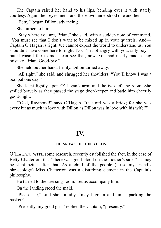The Captain raised her hand to his lips, bending over it with stately courtesy. Again their eyes met—and these two understood one another.

"Betty," began Dillon, advancing.

She turned to him.

"Stay where you are, Brian," she said, with a sudden note of command. "You must see that I don't want to be mixed up in your quarrels. And— Captain O'Hagan is right. We cannot expect the world to understand us. You shouldn't have come here to-night. No, I'm not angry with you, silly boy but it wasn't fair to me. I can see that, now. You had nearly made a big mistake, Brian. Good-bye."

She held out her hand, firmly. Dillon turned away.

"All right," she said, and shrugged her shoulders. "You'll know I was a real pal one day."

She leant lightly upon O'Hagan's arm; and the two left the room. She smiled bravely as they passed the stage door-keeper and bade him cheerily good-night.

("Gad, Raymond!" says O'Hagan, "that girl was a brick; for she was every bit as much in love with Dillon as Dillon was in love with his wife!")

# **IV.**

—————

#### **THE SNOWS OF THE YUKON.**

O'HAGAN, WITH some research, recently established the fact, in the case of Betty Chatterton, that "there was good blood on the mother's side." I fancy he slept better after that. As a child of the people (I use my friend's phraseology) Miss Chatterton was a disturbing element in the Captain's philosophy.

He turned to the dressing-room. Let us accompany him.

On the landing stood the maid.

"Please, sir," said she, timidly, "may I go in and finish packing the basket?"

"Presently, my good girl," replied the Captain, "presently."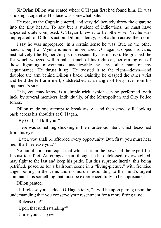Sir Brian Dillon was seated where O'Hagan first had found him. He was smoking a cigarette. His face was somewhat pale.

He rose, as the Captain entered, and very deliberately threw the cigarette into the tiny hearth. To any but a student of indications, he must have appeared quite composed. O'Hagan knew it to be otherwise. Yet he was unprepared for Dillon's action. Dillon, silently, leapt at him across the room!

I say he was unprepared. In a certain sense he was. But, on the other hand, a pupil of Myuku is never unprepared. O'Hagan dropped his cane, instinctively (the Higher Jiu-jitsu is essentially instinctive). He grasped the fist which whizzed within half an inch of his right ear, performing one of those lightning movements unachievable by any other man of my acquaintance. He thrust it up. He twisted it to the right—down—and doubled the arm behind Dillon's back. Daintily, he clasped the other wrist and held the left arm inert, outstretched at an angle of forty-five from his opponent's side.

This, you may know, is a simple trick, which can be performed, with luck, by several members, individually, of the Metropolitan and City Police forces.

Dillon made one attempt to break away—and then stood still, looking back across his shoulder at O'Hagan.

"By God, I'll kill you!"

There was something shocking in the murderous intent which beaconed from his eyes.

"Later, you shall be afforded every opportunity. But, first, you must hear me. Shall I release you?"

No humiliation can equal that which it is in the power of the expert Jiu-Jitsuist to inflict. An enraged man, though he be outclassed, overweighted, may fight to the last and keep his pride. But this supreme inertia, this being petrified, posed as for a ballroom scene in a "living-picture," with frenzied anger boiling in the veins and no muscle responding to the mind's urgent commands, is something that must be experienced fully to be appreciated.

Dillon panted.

"If I release you," added O'Hagan icily, "it will be upon parole; upon the understanding that you conserve your resentment for a more fitting time."

"Release me!"

"Upon that understanding?"

"Curse you! . . . *yes!*"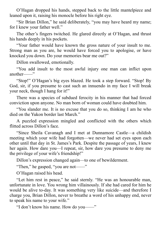O'Hagan dropped his hands, stepped back to the little mantelpiece and leaned upon it, raising his monocle before his right eye.

"Sir Brian Dillon," he said deliberately, "you may have heard my name; for I knew your father well."

The other's fingers twitched. He glared directly at O'Hagan, and thrust his hands deeply in his pockets.

"Your father would have known the gross nature of your insult to me. Strong man as you are, he would have forced you to apologise, or have knocked you down. Do your memories bear me out?"

Dillon swallowed, emotionally.

"You add insult to the most awful injury one man can inflict upon another——"

"Stop!" O'Hagan's big eyes blazed. He took a step forward. "Stop! By God, sir, if you presume to cast such an innuendo in my face I will break your neck, though I hang for it!"

There was a species of subdued ferocity in his manner that had forced conviction upon anyone. No man born of woman could have doubted him.

"You slander me. It is no excuse that you do so, thinking I am he who died on the Yukon border last March."

A puzzled expression mingled and conflicted with the others which flitted across Dillon's face.

"Since Sheila Cavanagh and I met at Dunnamore Castle—a childish meeting which your wife had forgotten—we never had set eyes upon each other until that day in St. James's Park. Despite the passage of years, I knew her again. How dare you—I repeat, sir, how dare you presume to deny me the privilege of your wife's friendship!"

Dillon's expression changed again—to one of bewilderment.

"Then," he gasped, "you are not——"

O'Hagan raised his head.

"Let him rest in peace," he said sternly. "He was an honourable man, unfortunate in love. You wrong him villainously. If she had cared for him he would be alive to-day. It was something very like suicide—and therefore I charge you, Brian Dillon, never to breathe a word of his unhappy end, never to speak his name to your wife."

"I don't know his name. How do you——"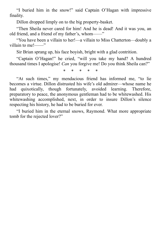"I buried him in the snow!" said Captain O'Hagan with impressive finality.

Dillon dropped limply on to the big property-basket.

"Then Sheila never cared for him! And he is dead! And it was you, an old friend, and a friend of my father's, whom——"

"You have been a villain to her!—a villain to Miss Chatterton—doubly a villain to me!——"

Sir Brian sprang up, his face boyish, bright with a glad contrition.

"Captain O'Hagan!" he cried, "will you take my hand? A hundred thousand times I apologise! *Can* you forgive me! Do you think Sheila can?"

\* \* \* \* \*

"At such times," my mendacious friend has informed me, "to lie becomes a virtue. Dillon distrusted his wife's old admirer—whose name he had quixotically, though fortunately, avoided learning. Therefore, preparatory to peace, the anonymous gentleman had to be whitewashed. His whitewashing accomplished, next, in order to insure Dillon's silence respecting his history, he had to be buried for ever.

"I buried him in the eternal snows, Raymond. What more appropriate tomb for the rejected lover?"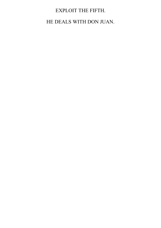# EXPLOIT THE FIFTH.

HE DEALS WITH DON JUAN.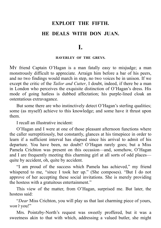## **EXPLOIT THE FIFTH. HE DEALS WITH DON JUAN.**

**I.**

#### **HAVERLEY OF THE GREYS.**

My friend Captain O'Hagan is a man fatally easy to misjudge; a man monstrously difficult to appreciate. Arraign him before a bar of his peers, and no two findings would march in step, no two voices be in unison. If we except the critic of the *Tailor and Cutter*, I doubt, indeed, if there be a man in London who perceives the exquisite distinction of O'Hagan's dress. His mode of going hatless is dubbed affectation; his purple-lined cloak an ostentatious extravagance.

But some there are who instinctively detect O'Hagan's sterling qualities; some (as myself) achieve to this knowledge; and some have it thrust upon them.

I recall an illustrative incident:

O'Hagan and I were at one of those pleasant afternoon functions where the caller surreptitiously, but constantly, glances at his timepiece in order to learn if a sufficient interval has elapsed since his arrival to admit of his departure. You have been, no doubt? O'Hagan rarely goes; but a Miss Pamela Crichton was present on this occasion—and, somehow, O'Hagan and I are frequently meeting this charming girl at all sorts of odd places quite by accident, oh, quite by accident.

"I am proud of the success which Pamela has achieved," my friend whispered to me, "since I took her up." (She composes). "But I do not approve of her accepting these social invitations. She is merely providing the hostess with a gratuitous entertainment."

This view of the matter, from O'Hagan, surprised me. But later, the hostess said:

"*Dear* Miss Crichton, you will play us that last charming piece of yours, *won't* you!"

Mrs. Pointzby-North's request was sweetly proffered, but it was a sweetness akin to that with which, addressing a valued butler, she might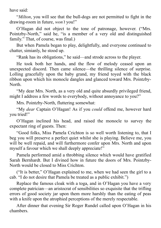have said:

"*Milton*, you will see that the bull-dogs are not permitted to fight in the drawing-room in future, *won't* you!"

O'Hagan did not object to the tone of patronage, however. ("Mrs. Pointzby-North," said he, "is a member of a very old and distinguished family." That, of course, was final.)

But when Pamela began to play, delightfully, and everyone continued to chatter, simianly, he stood up.

"Rank has its obligations," he said—and strode across to the player.

He took both her hands, and the flow of melody ceased upon an unexpected discord. Then came silence—the thrilling silence of surprise. Lolling gracefully upon the baby grand, my friend toyed with the black ribbon upon which his monocle dangles and glanced toward Mrs. Pointzby-North.

"My dear Mrs. North, as a very old and quite absurdly privileged friend, might I address a few words to everybody, without annoyance to you?"

Mrs. Pointzby-North, fluttering somewhat:

"My *dear* Captain O'Hagan! As if you *could* offend me, however hard you tried!"

O'Hagan inclined his head, and raised the monocle to survey the expectant ring of guests. Then:

"Good folks, Miss Pamela Crichton is so well worth listening to, that I beg you will preserve a perfect quiet whilst she is playing. Believe me, you will be well repaid, and will furthermore confer upon Mrs. North and upon myself a favour which we shall deeply appreciate!"

Pamela performed amid a throbbing silence which would have gratified Sarah Bernhardt. But I divined how in future the doors of Mrs. Pointzby-North would be closed to Miss Crichton.

("It is better," O'Hagan explained to me, when we had seen the girl to a cab. "I do not desire that Pamela be treated as a public exhibit.")

Replace the famous cloak with a toga, and in O'Hagan you have a very complete patrician—an aristocrat of sensibilities so exquisite that the trifling errors of good society jar upon them more harshly than the eating of peas with a knife upon the atrophied perceptions of the merely respectable.

After dinner that evening Sir Roger Rundel called upon O'Hagan in his chambers.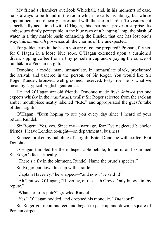My friend's chambers overlook Whitehall, and, in his moments of ease, he is always to be found in the room which he calls his library, but whose appointments more nearly correspond with those of a harêm. To visitors but superficially acquainted with O'Hagan, this apartment proves a surprise. Its arabesques dimly perceptible in the blue rays of a hanging lamp, the plash of water in a tiny marble basin enhancing the illusion that one has lost one's way, this *mandarah* possesses all the charms of the unexpected.

For golden carp in the basin you are of course prepared? Prepare, further, for O'Hagan in a loose blue robe, O'Hagan extended upon a cushioned divan, sipping coffee from a tiny porcelain cup and enjoying the solace of tumbâk in a Persian narghli.

Donohue, a model man, immaculate, in immaculate black, proclaimed the arrival, and ushered in the person, of Sir Roger. You would like Sir Roger Rundel; bronzed, well groomed, reserved, forty-five; he is what we mean by a typical English gentleman.

He and O'Hagan are old friends. Donohue made fresh *kahweh* (no one expects whisky in the *mandarah*), whilst Sir Roger selected from the rack an amber mouthpiece neatly labelled "R.R." and appropriated the guest's tube of the narghli.

O'Hagan: "Been hoping to see you every day since I heard of your return, Rundel."

Sir Roger: "Yes, yes. Since my—marriage, fear I've neglected bachelor friends. I leave London to-night—on departmental business."

Silence; broken by bubbling of narghli. Enter Donohue with coffee. Exit Donohue.

O'Hagan fumbled for the indispensable pebble, found it, and examined Sir Roger's face critically.

"There's a fly in the ointment, Rundel. Name the brute's species."

Sir Roger put down his cup with a rattle.

"Captain Haverley," he snapped—"and now I've said it!"

"Ah," mused O'Hagan; "Haverley, of the —th Greys. Only know him by repute."

"What sort of repute?" growled Rundel.

"Yes," O'Hagan nodded, and dropped his monocle. "*That* sort!"

Sir Roger got upon his feet, and began to pace up and down a square of Persian carpet.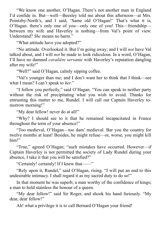"We know one another, O'Hagan. There's not another man in England I'd confide in. But—well—Beesley told me about this afternoon—at Mrs. Pointzby-North's, and I said, 'Same old O'Hagan!' That's what it is, O'Hagan: there's only one of you—only one of you! This—friendship between my wife and Haverley is nothing—from Val's point of view. Understand? *She* means no harm."

"What attitude have you adopted?"

"No attitude. Overlooked it. But I'm going away; and I will *not* have Val talked about, and I will *not* be made to look ridiculous. In a word, O'Hagan, I'll have no damned *cavalière servante* with Haverley's reputation dangling after my wife!"

"Well?" said O'Hagan, calmly sipping coffee.

"Val's younger than me; and I don't want her to think that I think—see what I mean? I can't speak to *her*."

"I follow you perfectly," said O'Hagan. "You can speak to neither party without the risk of precipitating what you wish to avoid. Thanks for entrusting this matter to me, Rundel. I will call out Captain Haverley tomorrow morning!"

"My dear fellow! never do at all!"

"Why? I should see to it that he remained incapacitated in France throughout the term of your absence!"

"Too medieval, O'Hagan—too dam' medieval. Bar you the country for twelve months at least! Besides, he might refuse—or, worse, you might kill him!"

"True," agreed O'Hagan; "such mistakes have occurred. However—if Captain Haverley is not permitted the society of Lady Rundel during your absence, I take it that you will be satisfied?"

"Certainly! certainly! If I knew that——"

"Rely upon it, Rundel," said O'Hagan, rising. "I will put an end to this undesirable intimacy. I shall regard it as my sacred duty to do so!"

In that moment he was superb; a man worthy of the confidence of kings; a man to hold stainless the honour of a queen.

"My dear fellow!" said Sir Roger, and shook his hand furiously. "My dear, dear fellow!"

Ah! what a privilege it is to call Bernard O'Hagan your friend!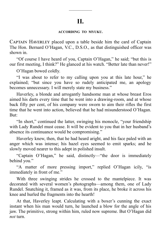—————

#### **ACCORDING TO MYUKU.**

CAPTAIN HAVERLEY placed upon a table beside him the card of Captain The Hon. Bernard O'Hagan, V.C., D.S.O., as that distinguished officer was shown in.

"Of course I have heard of you, Captain O'Hagan," he said; "but this is our first meeting, I think?" He glanced at his watch. "Better late than never!"

O'Hagan bowed coldly.

"I was about to refer to my calling upon you at this late hour," he explained; "but since you have so rudely anticipated me, an apology becomes unnecessary. I will merely state my business."

Haverley, a blonde and arrogantly handsome man at whose breast Eros aimed his darts every time that he went into a drawing-room, and at whose back fifty per cent, of his company were sworn to aim their rifles the first time that he went into action, believed that he had misunderstood O'Hagan. But:

"In short," continued the latter, swinging his monocle, "your friendship with Lady Rundel must cease. It will be evident to you that in her husband's absence its continuance would be compromising."

Haverley knew, then, that he had heard aright, and his face paled with an anger which was intense; his hazel eyes seemed to emit sparks; and he slowly moved nearer to this adept in polished insult.

"Captain O'Hagan," he said, distinctly—"the door is immediately behind you."

"A matter of more pressing import," replied O'Hagan icily, "is immediately in front of me."

With three swinging strides he crossed to the mantelpiece. It was decorated with several women's photographs—among them, one of Lady Rundel. Snatching it, framed as it was, from its place, he broke it across his knee and hurled the fragments into the hearth!

At that, Haverley leapt. Calculating with a boxer's cunning the exact instant when his man would turn, he launched a blow for the angle of his jaw. The primitive, strong within him, ruled now supreme. But O'Hagan did *not* turn.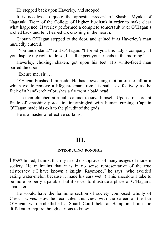He stepped back upon Haverley, and stooped.

It is needless to quote the apposite precept of Shashu Myuku of Nagasaki (Dean of the College of Higher Jiu-jitsu) in order to make clear what happened. Haverley performed a complete somersault over O'Hagan's arched back and fell, heaped up, crashing in the hearth.

Captain O'Hagan stepped to the door, and gained it as Haverley's man hurriedly entered.

"You understand?" said O'Hagan. "I forbid you this lady's company. If you dispute my right to do so, I shall expect your friends in the morning."

Haverley, choking, shaken, got upon his feet. His white-faced man barred the door.

"Excuse me, sir . . ."

O'Hagan brushed him aside. He has a sweeping motion of the left arm which would remove a lifeguardsman from his path as effectively as the flick of a handkerchief brushes a fly from a bald head.

The man clutched at a buhl cabinet to save himself. Upon a discordant finale of smashing porcelain, intermingled with human cursing, Captain O'Hagan made his exit to the plaudit of the gods.

He is a master of effective curtains.

### **III.**

—————

#### **INTRODUCING DONOHUE.**

I HAVE hinted, I think, that my friend disapproves of many usages of modern society. He maintains that it is in no sense representative of the true aristocracy. ("I have known a knight, Raymond," he says "who avoided eating water-melon because it made his ears wet.") This anecdote I take to be more properly a parable; but it serves to illustrate a phase of O'Hagan's character.

He would have the feminine section of society composed wholly of Cæsar' wives. How he reconciles this view with the career of the fair O'Hagan who embellished a Stuart Court held at Hampton, I am too diffident to inquire though curious to know.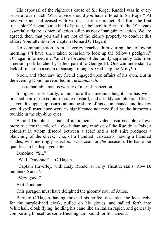His espousal of the righteous cause of Sir Roger Rundel was in every sense a love-match. What advice should *you* have offered to Sir Roger? At best your aid had ceased with words, I dare to predict. But from the first traceable O'Hagan (some kind of pirate, I believe) to Bernard, the O'Hagans essentially figure as men of action, often as not of sanguinary action. We are agreed, then, that you and I are not of the kidney properly to conduct this affair? Your attention for Captain Bernard O'Hagan!

No communication from Haverley reached him during the following morning. ("I have since taken occasion to look up the fellow's pedigree," O'Hagan informed me; "and the fortunes of the family apparently date from a certain pork butcher by letters patent to George III. One can understand a lack of finesse in a scion of sausage-mongers. God help the Army!")

Noon, and after, saw my friend engaged upon affairs of his own. But in the evening Donohue reported in the *mandarah*.

This remarkable man is worthy of a brief inspection.

In figure he is sturdy, of no more than medium height. He has wellbrushed hair of the colour of stale mustard, and a ruddy complexion. Cleanshaven, his upper lip usurps an undue share of his countenance, and his jaw would spell truculence were its significance not modified by the humorous twinkle in the sky-blue eyes.

Behold Donohue, a man of attainments; a valet unsurpassable, of eye more true for the fold of a cloak than any modiste of the Rue de la Paix; a colourist in whom discord between a scarf and a soft shirt produces a blanching of the cheek; who, of a hundred waistcoats, having a hundred shades, will unerringly select *the* waistcoat for *the* occasion. He has other qualities, to be displayed later.

Donohue: "Sir."

"Well, Donohue?"—O'Hagan.

"Captain Haverley, with Lady Rundel at Folly Theatre; stalls; Row B; numbers 6 and 7."

"Very good."

Exit Donohue.

This paragon must have delighted the gloomy soul of Athos.

Bernard O'Hagan, having finished his coffee, discarded the loose robe for the purple-lined cloak, pulled on his gloves, and sallied forth into Whitehall, cloak flying, holding his cane like an Italian rapier, and generally comporting himself as some Buckingham bound for St. James's.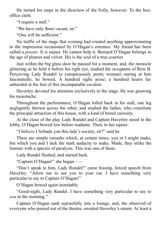He turned his steps in the direction of the Folly, however. To the boxoffice clerk:

"I require a stall."

"We have only three vacant, sir."

"One will be sufficient."

No traffic of the stage that evening had created anything approximating to the impression occasioned by O'Hagan's entrance. My friend has been called a *poseur*. It is unjust. He cannot help it. Bernard O'Hagan belongs to the age of plumes and velvet. His is the soul of a true courtier.

Just within the big glass door he paused for a moment, and, the monocle glittering as he held it before his right eye, studied the occupants of Row B. Perceiving Lady Rundel (a conspicuously pretty woman) staring at him fascinatedly, he bowed. A hundred sighs arose; a hundred hearts lay unheeded at the feet of this incomparable cavalier.

Haverley devoted his attention exclusively to the stage. He was gnawing his moustache.

Throughout the performance, O'Hagan lolled back in his stall, one leg negligently thrown across the other, and studied the ladies, who constitute the principal attraction of this house, with a kind of bored curiosity.

At the close of the play Lady Rundel and Captain Haverley stood in the lobby. O'Hagan bowed low before madame. Then, to her squire:

"I believe I forbade you this lady's society, sir?" said he.

There are simple remarks which, at certain times, you or I might make, but which you and I lack the stark audacity to make. Made, they strike the listener with a species of paralysis. This was one of them.

Lady Rundel flushed, and started back.

"Captain O'Hagan!" she began——

"Don't speak to him, Lady Rundel!" came hissing, forced speech from Haverley. "Allow me to see you to your car. I have something very particular to say to Captain O'Hagan!"

O'Hagan bowed again inimitably.

"Good-night, Lady Rundel. I have something very particular to say to *you* in the morning."

Captain O'Hagan sank reposefully into a lounge, and, the observed of everyone who passed out of the theatre, awaited Haverley's return. At least a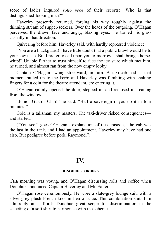score of ladies inquired *sotto voce* of their escorts: "Who is that distinguished-looking man?"

Haverley presently returned, forcing his way roughly against the thinning stream of supper-seekers. Over the heads of the outgoing, O'Hagan perceived the drawn face and angry, blazing eyes. He turned his glass casually in that direction.

Quivering before him, Haverley said, with hardly repressed violence:

"You are a blackguard! I have little doubt that a public brawl would be to your low taste. But I prefer to call upon you to-morrow. I shall bring a horsewhip!" Unable further to trust himself to face the icy stare which met him, he turned, and almost ran from the now empty lobby.

Captain O'Hagan swung streetward, in turn. A taxi-cab had at that moment pulled up to the kerb; and Haverley was fumbling with shaking fingers for a coin for the theatre attendant, ere entering it.

O'Hagan calmly opened the door, stepped in, and reclosed it. Leaning from the window:

"Junior Guards Club!" he said. "Half a sovereign if you do it in four minutes!"

Gold is a talisman, my masters. The taxi-driver risked consequences and started.

("You see," goes O'Hagan's explanation of this episode, "the cab was the last in the rank, and I had an appointment. Haverley may have had one also. But pedigree before pork, Raymond.")

### **IV.**

—————

#### **DONOHUE'S ORDERS.**

THE morning was young, and O'Hagan discussing rolls and coffee when Donohue announced Captain Haverley and Mr. Salter.

O'Hagan rose ceremoniously. He wore a slate-grey lounge suit, with a silver-grey plush French knot in lieu of a tie. This combination suits him admirably and affords Donohue great scope for discrimination in the selecting of a soft shirt to harmonise with the scheme.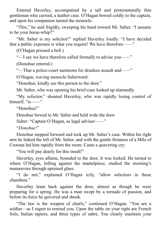Entered Haverley, accompanied by a tall and preternaturally thin gentleman who carried, a leather case. O'Hagan bowed coldly to the captain, and upon his companion turned the monocle.

"This," he said frigidly, sweeping his hand toward Mr. Salter, "I assume to be your horse-whip?"

"Mr. Salter is my solicitor!" replied Haverley loudly. "I have decided that a public exposure is what you require! We have therefore——"

(O'Hagan pressed a bell.)

"—I say we have therefore called formally to advise you——"

(Donohue entered.)

"—That a police-court summons for drunken assault and——"

O'Hagan, waving monocle Salterward:

"Donohue, kindly see this person to the door."

Mr. Salter, who was opening his brief-case looked up alarmedly.

"My solicitor," shouted Haverley, who was rapidly losing control of himself. "is——"

"Donohue!"

Donohue bowed to Mr. Salter and held wide the door.

Salter: "Captain O'Hagan, as legal adviser——"

"*Donohue!*"

Donohue stepped forward and took up Mr. Salter's case. Within his right arm he linked the left of Mr. Salter, and with the gentle firmness of a Milo of Crotona led him rapidly from the room. Came a quavering cry:

"You will pay dearly for this insult!"

Haverley, eyes aflame, bounded to the door. It was locked. He turned to where O'Hagan, lolling against the mantelpiece, studied the morning's manœuvres through upraised glass.

"I do not," explained O'Hagan icily, "allow solicitors in these chambers."

Haverley leant back against the door, almost as though he were preparing for a spring. He was a man swept by a tornado of passion, and before its force he quivered and shook.

"The law is the weapon of churls," continued O'Hagan. "You are a soldier—as I regret to remind you. Upon the table on your right are French foils, Italian rapiers, and three types of sabre. You clearly maintain your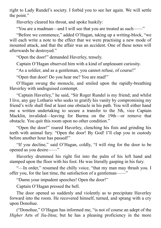right to Lady Rundel's society. I forbid you to see her again. We will settle the point."

Haverley cleared his throat, and spoke huskily:

"You are a madman—and I will see that you are treated as such——"

"Before we commence," added O'Hagan, taking up a writing-block, "we will each write a note to the effect that we were practising a new mode of mounted attack, and that the affair was an accident. One of these notes will afterwards be destroyed."

"Open the door!" demanded Haverley, tensely.

Captain O'Hagan observed him with a kind of unpleasant curiosity.

"As a soldier, and as a gentleman, you cannot refuse, of course!"

"Open that door! Do you hear me? You are mad!"

O'Hagan swung the monocle, and smiled upon the rapidly-breathing Haverley with undisguised contempt.

"Captain Haverley," he said, "Sir Roger Rundel is my friend; and whilst I live, any gay Lothario who seeks to gratify his vanity by compromising my friend's wife shall find at least one obstacle in his path. You will either hand me a written undertaking to secure a transfer to the 5th, vice Captain Macklin, invalided—leaving for Burma on the 19th—or remove that obstacle. You quit this room upon no other condition."

"Open the door!" roared Haverley, clenching his fists and grinding his teeth with animal fury. "Open the door! By God! I'll clap you in custody before another hour has passed!"

"If you decline," said O'Hagan, coldly, "I will ring for the door to be opened as you desire——"

Haverley drummed his right fist into the palm of his left hand and stamped upon the floor with his foot. He was literally gasping in his fury.

"-In order," resumed the chilly voice, "that my man may thrash you. I offer you, for the last time, the satisfaction of a gentleman——"

"Damn your impudent speeches! Open the door!"

Captain O'Hagan pressed the bell.

The door opened so suddenly and violently as to precipitate Haverley forward into the room. He recovered himself, turned, and sprang with a cry upon Donohue.

("Donohue," O'Hagan has informed me, "is not of course an adept of the *Higher* Arts of Jiu-Jitsu; but he has a pleasing proficiency in the more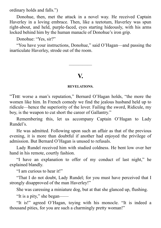ordinary holds and falls.")

Donohue, then, met the attack in a novel way. He received Captain Haverley in a loving embrace. Then, like a teetotum, Haverley was spun right-about, and held, purple-faced, eyes starting hideously, with his arms locked behind him by the human manacle of Donohue's iron grip.

Donohue: "Yes, sir?"

"You have your instructions, Donohue," said O'Hagan—and passing the inarticulate Haverley, strode out of the room.

### **V.**

—————

#### **REVELATIONS.**

"THE worse a man's reputation," Bernard O'Hagan holds, "the more the women like him. In French comedy we find the jealous husband held up to ridicule—hence the superiority of the lover. Failing the sword, Ridicule, my boy, is the weapon to cut short the career of Gallantry."

Remembering this, let us accompany Captain O'Hagan to Lady Rundel's.

He was admitted. Following upon such an affair as that of the previous evening, it is more than doubtful if another had enjoyed the privilege of admission. But Bernard O'Hagan is unused to refusals.

Lady Rundel received him with studied coldness. He bent low over her hand in his remote, courtly fashion.

"I have an explanation to offer of my conduct of last night," he explained blandly.

"I am curious to hear it!"

"That I do not doubt, Lady Rundel; for you must have perceived that I strongly disapproved of the man Haverley!"

She was caressing a miniature dog, but at that she glanced up, flushing.

"It is a pity," she began——

"It is!" agreed O'Hagan, toying with his monocle. "It is indeed a thousand pities, for you are such a charmingly pretty woman!"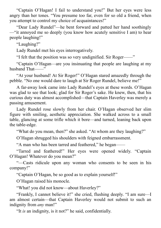"Captain O'Hagan! I fail to understand you!" But her eyes were less angry than her tones. "You presume too far, even for so old a friend, when you attempt to control my choice of acquaintances!"

"Dear Lady Rundel"—he bent forward and patted her hand soothingly —"it annoyed me so deeply (you know how acutely sensitive I am) to hear people laughing!"

"Laughing?"

Lady Rundel met his eyes interrogatively.

"I felt that the position was so very undignified. Sir Roger——"

"Captain O'Hagan—are you insinuating that people are laughing at my husband That<sup>-1</sup>

"At your husband! At Sir Roger!" O'Hagan stared amazedly through the pebble. "No one would dare to laugh at Sir Roger Rundel, believe me!"

A far-away look came into Lady Rundel's eyes at these words. O'Hagan was glad to see that look; glad for Sir Roger's sake. He knew, then, that his curious duty was almost accomplished—that Captain Haverley was merely a passing amusement.

Lady Rundel rose slowly from her chair. O'Hagan observed her slim figure with smiling, aesthetic appreciation. She walked across to a small table, glancing at some trifle which it bore—and turned, leaning back upon the table-edge.

"What do you mean, then?" she asked. "At whom are they laughing?"

O'Hagan shrugged his shoulders with feigned embarrassment.

"A man who has been tarred and feathered," he began——

"Tarred and feathered!" Her eyes were opened widely. "Captain O'Hagan! Whatever do you mean?"

"—Casts ridicule upon any woman who consents to be seen in his company!"

"Captain O'Hagan, be so good as to explain yourself!"

O'Hagan raised his monocle.

"What! you did not know—about Haverley?"

"Frankly, I cannot believe it!" she cried, flushing deeply. "I am sure—I am almost certain—that Captain Haverley would not submit to such an indignity from *any* man!"

"It *is* an indignity, is it not?" he said, confidentially.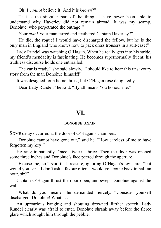"Oh! I *cannot* believe it! And it is *known*?"

"That is the singular part of the thing! I have never been able to understand why Haverley did not remain abroad. It was my scamp, Donohue, who perpetrated the outrage!"

"Your *man*! Your man tarred and feathered Captain Haverley?"

"He did, the rogue! I would have discharged the fellow, but he is the only man in England who knows how to pack dress trousers in a suit-case!"

Lady Rundel was watching O'Hagan. When he really gets into his stride, my friend's mendacity is fascinating. He becomes supernormally fluent; his truthless discourse holds one enthralled.

"The car is ready," she said slowly. "I should like to hear this unsavoury story from the man Donohue himself!"

It was designed for a home thrust, but O'Hagan rose delightedly.

"Dear Lady Rundel," he said. "By all means You honour me."

### **VI.**

—————

#### **DONOHUE AGAIN.**

SOME delay occurred at the door of O'Hagan's chambers.

"Donohue cannot have gone out," said he. "How careless of me to have forgotten my key!"

He rang impatiently. Once—twice—thrice. Then the door was opened some three inches and Donohue's face peered through the aperture.

"Excuse me, sir," said that treasure, ignoring O'Hagan's icy stare; "but would you, sir—I don't ask a favour often—would you come back in half an hour, sir?"

Captain O'Hagan thrust the door open, and swept Donohue against the wall.

"What do you mean?" he demanded fiercely. "Consider yourself discharged, Donohue! What . . ."

An uproarious banging and shouting drowned further speech. Lady Rundel clearly was afraid to enter. Donohue shrank away before the fierce glare which sought him through the pebble.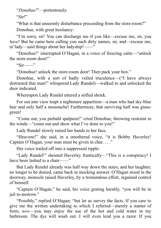"*Donahue!*"—portentously.

"Sir!"

"What is that unseemly disturbance proceeding from the store-room?"

Donohue, with great hesitancy:

"I'm sorry, sir! You can discharge me if you like—excuse me, sir, you *have*! But he came here calling you such dirty names, sir, and—excuse me, m'lady—said things about her ladyship!——"

"Donohue!" interrupted O'Hagan, in a voice of freezing calm—"unlock the store-room door!"

 $"Sir$ —"

"Donohue! unlock the store-room door! Then pack your box."

Donohue, with a sort of badly veiled truculence—("I have always distrusted that man!" whispered Lady Rundel)—walked to and unlocked the door indicated.

Whereupon Lady Rundel uttered a stifled shriek.

For out into view leapt a nightmare apparition—a man who had sky-blue hair and only half a moustache! Furthermore, that surviving half was grassgreen!

"Come out, you piebald spalpeen!" cried Donohue, throwing restraint to the winds—"come out and show what I've done to you!"

Lady Rundel slowly raised her hands to her face.

"Heavens!" she said, in a smothered voice, "it is Bobby Haverley! Captain O'Hagan, your man must be given in char..."

Her voice trailed off into a suppressed ripple.

"Lady Rundel!" shouted Haverley frantically—"This is a conspiracy! I have been lashed to a chair——"

But Lady Rundel already was half way down the stairs, and her laughter, no longer to be denied, came back in mocking answer. O'Hagan stood in the doorway, monocle raised Haverley, by a tremendous effort, regained control of himself.

"Captain O'Hagan," he said, his voice grating harshly, "you will be in jail to-morrow."

"Possibly," replied O'Hagan; "but let us survey the facts. If you care to give me the written undertaking to which I referred—merely a matter of form, *now*—you may enjoy the use of the hot and cold water in my bathroom. The dye will wash out. I will even lend you a razor. If you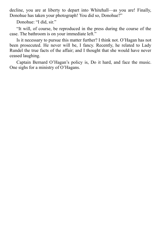decline, you are at liberty to depart into Whitehall—as you are! Finally, Donohue has taken your photograph! You did so, Donohue?"

Donohue: "I did, sir."

"It will, of course, be reproduced in the press during the course of the case. The bathroom is on your immediate left."

Is it necessary to pursue this matter further? I think not. O'Hagan has not been prosecuted. He never will be, I fancy. Recently, he related to Lady Rundel the true facts of the affair; and I thought that she would have never ceased laughing.

Captain Bernard O'Hagan's policy is, Do it hard, and face the music. One sighs for a ministry of O'Hagans.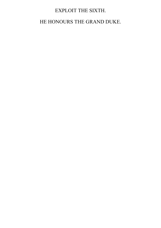### EXPLOIT THE SIXTH.

### HE HONOURS THE GRAND DUKE.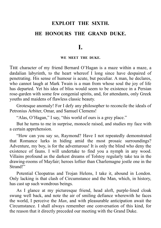## **EXPLOIT THE SIXTH. HE HONOURS THE GRAND DUKE.**

### **I.**

#### **WE MEET THE DUKE.**

THE character of my friend Bernard O'Hagan is a maze within a maze, a dædalian labyrinth, to the heart whereof I long since have despaired of penetrating. His sense of humour is acute, but peculiar. A man, he declares, who cannot laugh at Mark Twain is a man from whose soul the joy of life has departed. Yet his idea of bliss would seem to be existence in a Persian rose-garden with some few congenial spirits, and, for attendants, only Greek youths and maidens of flawless classic beauty.

Grotesque anomaly! For I defy any philosopher to reconcile the ideals of Petronius Arbiter, Omar, and Samuel Clemens!

"Alas, O'Hagan," I say, "this world of ours is a grey place."

But he turns to me in surprise, monocle raised, and studies my face with a certain apprehension.

"How can you say so, Raymond? Have I not repeatedly demonstrated that Romance lurks in hiding amid the most prosaic surroundings? Adventure, my boy, is for the adventurous! It is only the blind who deny the existence of fauns. I will undertake to find you a nymph in any wood. Villains profound as the darkest dreams of Tolstoy regularly take tea in the drawing-rooms of Mayfair; heroes loftier than Charlemagne jostle one in the Strand<sup>1</sup>"

Potential Cleopatras and Trojan Helens, I take it, abound in London. Only lacking is that clash of Circumstance and the Man, which, in history, has cast up such wondrous beings.

As I glance at my picturesque friend, head aloft, purple-lined cloak swung well back, and note the air of smiling defiance wherewith he faces the world, I perceive the *Man*, and with pleasurable anticipation await the Circumstance. I shall always remember one conversation of this kind, for the reason that it directly preceded our meeting with the Grand Duke.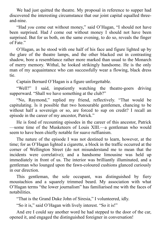We had just quitted the theatre. My proposal in reference to supper had discovered the interesting circumstance that our joint capital equalled threeand-nine.

"Had *you* come out without money," said O'Hagan, "I should not have been surprised. Had *I* come out without money I should not have been surprised. But for us both, on the same evening, to do so, reveals the finger of Fate."

O'Hagan, as he stood with one half of his face and figure lighted up by the glare of the theatre lamps, and the other blacked out in contrasting shadow, bore a resemblance rather more marked than usual to the Monarch of merry memory. Withal, he looked strikingly handsome. He is the only man of my acquaintance who can successfully wear a flowing, black dress tie.

Captain Bernard O'Hagan is a figure unforgettable.

"Well?" I said, impatiently watching the theatre-goers driving supperward. "Shall we have something at the club?"

"No, Raymond," replied my friend, reflectively. "That would be capitulating. Is it possible that two honourable gentlemen, chancing to be without half a sovereign or so, are forced to sup on credit? I recall an episode in the career of my ancestor, Patrick."

He is fond of recounting episodes in the career of this ancestor, Patrick —some time of the Musketeers of Louis XIII.—a gentleman who would seem to have been chiefly notable for suave ruffianism.

The nature of the episode I was not destined to learn, however, at the time; for as O'Hagan lighted a cigarette, a block in the traffic occurred at the corner of Wellington Street (do not misunderstand me to mean that the incidents were correlative); and a handsome limousine was held up immediately in front of us. The interior was brilliantly illuminated, and a gentleman who lounged upon the fawn-coloured cushions glanced curiously in our direction.

This gentleman, the sole occupant, was distinguished by fiery moustachios and a squarely trimmed beard. My association with what O'Hagan terms "the lower journalism" has familiarised me with the faces of notabilities.

"That is the Grand Duke John of Siresia," I volunteered, idly.

"So it is," said O'Hagan with lively interest. "So it is!"

And ere I could say another word he had stepped to the door of the car, opened it, and engaged the distinguished foreigner in conversation!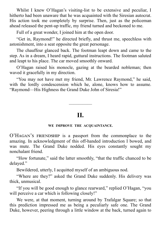Whilst I knew O'Hagan's visiting-list to be extensive and peculiar, I hitherto had been unaware that he was acquainted with the Siresian autocrat. His action took me completely by surprise. Then, just as the policeman ahead released the pent-up traffic, my friend turned and beckoned to me.

Full of a great wonder, I joined him at the open door.

"Get in, Raymond!" he directed briefly, and thrust me, speechless with astonishment, into a seat opposite the great personage.

The chauffeur glanced back. The footman leapt down and came to the step. As in a dream, I heard rapid, guttural instructions. The footman saluted and leapt to his place. The car moved smoothly onward.

O'Hagan raised his monocle, gazing at the bearded nobleman; then waved it gracefully in my direction.

"You may not have met my friend, Mr. Lawrence Raymond," he said, with the lordly condescension which he, alone, knows how to assume. "Raymond—His Highness the Grand Duke John of Siresia!"

### **II.**

—————

#### **WE IMPROVE THE ACQUAINTANCE.**

O'HAGAN'S FRIENDSHIP is a passport from the commonplace to the amazing. In acknowledgment of this off-handed introduction I bowed, and was mute. The Grand Duke nodded. His eyes constantly sought my nonchalant friend.

"How fortunate," said the latter smoothly, "that the traffic chanced to be delayed."

Bewildered, utterly, I acquitted myself of an ambiguous nod.

"Where are they?" asked the Grand Duke suddenly. His delivery was thick, unmusical.

"If you will be good enough to glance rearward," replied O'Hagan, "you will perceive a car which is following closely!"

We were, at that moment, turning around by Trafalgar Square; so that this prediction impressed me as being a peculiarly safe one. The Grand Duke, however, peering through a little window at the back, turned again to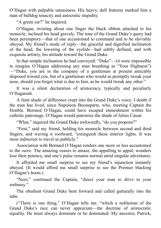O'Hagan with palpable uneasiness. His heavy, dull features marked him a man of bulldog tenacity and autocratic stupidity.

"A green car?" he inquired.

O'Hagan, twisting about one finger the black ribbon attached to his monocle, inclined his head gravely. The tone of the Grand Duke's query had been peremptory—that of one accustomed to command and to be slavishly obeyed. My friend's mode of reply—the graceful and dignified inclination of the head, the lowering of the eyelids—had subtly defined, and with exquisite artistry, his attitude toward the Grand Duke.

In that simple inclination he had conveyed: "Duke"—(it were impossible to imagine O'Hagan addressing any man breathing as "Your Highness") —"Duke, you are in the company of a gentleman at present amicably disposed toward you, but of a gentleman who would as promptly tweak your nose, should you forget what is due to him, as he would tweak any other."

It was a silent declaration of aristocracy, typically and peculiarly O'Haganish.

A faint shade of difference crept into the Grand Duke's voice. I doubt if the man has lived, since Napoleon Buonaparte, who, meeting Captain the Honble. Bernard O'Hagan, could have escaped enmeshment within his catholic patronage. O'Hagan would patronize the shade of Julius Cæsar.

"What," inquired the Grand Duke awkwardly, "do you propose?"

"First," said my friend, holding his monocle between second and third fingers, and waving it roofward, "extinguish these interior lights. It was most indiscreet to travel so publicly."

Association with Bernard O'Hagan renders one more or less accustomed to the *outre*. The amazing ceases to amaze, the appalling to appal; wonders lose their potency, and one's pulse remains normal amid singular adventures.

It afforded me small surprise to see my friend's injunction instantly obeyed. (It would afford me small surprise to see the Premier blacking O'Hagan's boots.)

"Next," continued the Captain, "direct your man to drive to your embassy."

The obedient Grand Duke bent forward and called gutturally into the tube.

("There is one thing," O'Hagan tells me, "which a nobleman of the Grand Duke's race can never appreciate—the doctrine of aristocratic equality. He must always dominate or be dominated. My ancestor, Patrick,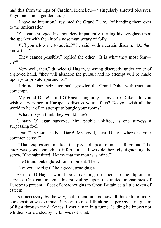had this from the lips of Cardinal Richelieu—a singularly shrewd observer, Raymond, and a gentleman.")

"I have no intention," resumed the Grand Duke, "of handing them over to the ambassador."

O'Hagan shrugged his shoulders impatiently, turning his eye-glass upon the speaker with the air of a wise man weary of folly.

"*Will* you allow me to advise?" he said, with a certain disdain. "Do *they* know that?"

"They cannot possibly," replied the other. "It is what they most fear eh?"

"Very well, then," drawled O'Hagan, yawning discreetly under cover of a gloved hand, "they will abandon the pursuit and no attempt will be made upon your private apartments."

"I do not fear their attempts!" growled the Grand Duke, with truculent contempt.

"My good Duke!" said O'Hagan languidly—"my dear Duke—do you wish every paper in Europe to discuss your affairs? Do you wish all the world to hear of an attempt to burgle your rooms?"

"What! do you think they would dare?"

Captain O'Hagan surveyed him, pebble uplifted, as one surveys a surpassing fool.

"Dare!" he said icily. "Dare! My good, dear Duke—where is your common sense?"

("That expression marked the psychological moment, Raymond," he later was good enough to inform me. "I was deliberately tightening the screw. If he submitted. I knew that the man was mine.")

The Grand Duke glared for a moment. Then:

"No; you are right!" he agreed, grudgingly.

Bernard O'Hagan would be a dazzling ornament to the diplomatic service. One can imagine his prevailing upon the united monarchies of Europe to present a fleet of dreadnoughts to Great Britain as a little token of esteem.

Is it necessary, by the way, that I mention here how all this extraordinary conversation was so much Sanscrit to me? I think not. I perceived no gleam of light through the darkness. I was a man in a tunnel leading he knows not whither, surrounded by he knows not what.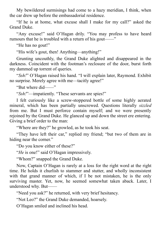My bewildered surmisings had come to a hazy meridian, I think, when the car drew up before the embassadorial residence.

"If he is at home, what excuse shall I make for my call?" asked the Grand Duke.

"Any excuse!" said O'Hagan drily. "You may profess to have heard rumours that he is troubled with a return of his gout——"

"He has no gout!"

"His wife's gout, then! Anything—anything!"

Grunting uncouthly, the Grand Duke alighted and disappeared in the darkness. Coincident with the footman's reclosure of the door, burst forth my dammed up torrent of queries.

"*Ssh!*" O'Hagan raised his hand. "I will explain later, Raymond. Exhibit no surprise. Merely agree with me—tacitly agree!"

"But where did——"

"*Ssh!*"—impatiently. "These servants are spies!"

I felt curiously like a screw-stoppered bottle of some highly aerated mineral, which has been partially unscrewed. Questions literally *sizzled* from me. But I must perforce contain myself; and we were presently rejoined by the Grand Duke. He glanced up and down the street ere entering. Giving a brief order to the man:

"Where are they?" he growled, as he took his seat.

"They have left their car," replied my friend; "but two of them are in hiding near the corner."

"Do you know either of these?"

"*He* is one!" said O'Hagan impressively.

"Whom?" snapped the Grand Duke.

Now, Captain O'Hagan is rarely at a loss for the right word at the right time. He holds it churlish to stammer and stutter, and wholly inconsistent with that grand manner of which, if I be not mistaken, he is the only surviving master. Yet, now, he seemed somewhat taken aback. Later, I understood why. But——

"Need you ask?" he returned, with very brief hesitancy.

"Not Leo?" the Grand Duke demanded, hoarsely.

O'Hagan smiled and inclined his head.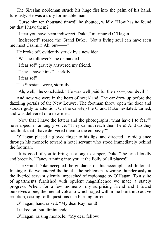The Siresian nobleman struck his huge fist into the palm of his hand, furiously. He was a truly formidable man.

"Curse him ten thousand times!" he shouted, wildly. "How has *he* found out that I have them?"

"I fear you have been indiscreet, Duke," murmured O'Hagan.

"Indiscreet!" roared the Grand Duke. "Not a living soul can have seen me meet Casimir! Ah, but——"

He broke off, evidently struck by a new idea.

"Was he followed?" he demanded.

"I fear so!" gravely answered my friend.

"They—have him?"—jerkily.

"I fear sol"

The Siresian swore, stormily.

"Ah, well," he concluded. "He was well paid for the risk—poor devil!"

And now we were in the heart of hotel-land. The car drew up before the dazzling portals of the New Louvre. The footman threw open the door and stood rigidly to attention. On the car-step the Grand Duke hesitated, turned, and was delivered of a new idea.

"Now that I have the letters and the photographs, what have I to fear?" he snapped, in an angry voice. "They cannot reach them here! And do they not think that I have delivered them to the embassy?"

O'Hagan placed a gloved finger to his lips, and directed a rapid glance through his monocle toward a hotel servant who stood immediately behind the footman.

"It is good of you to bring us along to supper, Duke!" he cried loudly and breezily. "Fancy running into you at the Folly of all places!"

The Grand Duke accepted the guidance of this accomplished diplomat. In single file we entered the hotel—the nobleman frowning thunderously at the liveried servant silently impeached of espionage by O'Hagan. To a suite of apartments furnished with opulent magnificence we made a stately progress. When, for a few moments, my surprising friend and I found ourselves alone, the mental volcano which raged within me burst into active eruption, casting forth questions in a burning torrent.

O'Hagan, hand raised: "My dear Raymond!"

I talked on, but diminuendo.

O'Hagan, raising monocle: "My dear fellow!"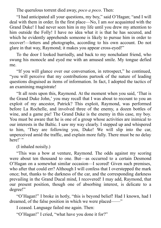The querulous torrent died away, *poco a poco*. Then:

"I had anticipated all your questions, my boy," said O'Hagan; "and I will deal with them in order. In the first place—No, I am *not* acquainted with the Grand Duke! I had never seen him in my life until you drew my attention to him outside the Folly! I have no idea what it is that he has secured, and which he evidently apprehends someone is likely to pursue him in order to recover!—letters and photographs, according to his own account. Do not glare in that way, Raymond; it makes you appear cross-eyed!"

To the door I looked hurriedly, and back to my nonchalant friend, who swung his monocle and eyed me with an amused smile. My tongue defied me.

"If you will glance over our conversation, in retrospect," he continued, "you will perceive that my contributions partook of the nature of leading questions disguised as items of information. In fact, I adopted the tactics of an examining magistrate!

"It all rests upon this, Raymond. At the moment when you said, 'That is the Grand Duke John,' you may recall that I was about to recount to you an exploit of my ancestor, Patrick? This exploit, Raymond, was performed before La Rochelle, and involved three of the enemy, a dozen bottles of wine, and a game pie! The Grand Duke is the enemy in this case, my boy. You must be aware that he is one of a group whose activities are inimical to our interests in the Baltic. I saw my way clearly. I stepped up and whispered to him, 'They are following you, Duke! We will slip into the car, unperceived amid the traffic, and explain more fully. There must be no delay here!' "

(I inhaled noisily.)

"This was a bow at venture, Raymond. The odds against my scoring were about ten thousand to one. But—as occurred to a certain Desmond O'Hagan on a somewhat similar occasion—I scored! Given such premises, who after that could err? Although I will confess that I overstepped the mark once; but, thanks to the darkness of the car, and the corresponding darkness prevailing in the Grand Ducal mind, I recovered! I may add, Raymond, that our present position, though one of absorbing interest, is delicate to a degree!"

"O'Hagan!" I broke in hotly, "this is beyond belief! Had I known, had I dreamed, of the false position in which we were placed——"

I ceased. Language failed me again. Then:

"O'Hagan!" I cried, "what have you done it for?"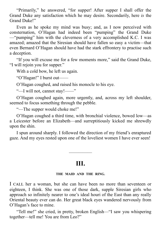"Primarily," he answered, "for supper! After supper I shall offer the Grand Duke any satisfaction which he may desire. Secondarily, here *is* the Grand Duke!"

Even as he spoke my mind was busy; and, as I now perceived with consternation, O'Hagan had indeed been "pumping" the Grand Duke —"pumping" him with the cleverness of a very accomplished K.C. I was amazed; amazed that the Siresian should have fallen so easy a victim—that even Bernard O'Hagan should have had the stark effrontery to practise such a deception.

"If you will excuse me for a few moments more," said the Grand Duke, "I will rejoin you for supper."

With a cold bow, he left us again.

"O'Hagan!" I burst out——

O'Hagan coughed, and raised his monocle to his eye.

"—I will not, cannot stay!——"

O'Hagan coughed again, more urgently, and, across my left shoulder, seemed to focus something through the pebble.

"—The supper would choke me!"

O'Hagan coughed a third time, with bronchial violence, bowed low—as a Leicester before an Elizabeth—and surreptitiously kicked me shrewdly upon the shin.

I spun around sharply. I followed the direction of my friend's enraptured gaze. And my eyes rested upon one of the loveliest women I have ever seen!

### **III.**

—————

#### **THE MAID AND THE RING.**

I CALL her a woman, but she can have been no more than seventeen or eighteen, I think. She was one of those dark, supple Siresian girls who approach so infinitely nearer to one's ideal houri of the East than any really Oriental beauty ever can do. Her great black eyes wandered nervously from O'Hagan's face to mine.

"Tell me!" she cried, in pretty, broken English—"I saw you whispering together—tell me! You are from Leo?"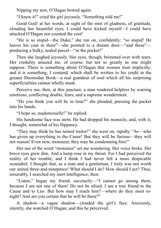Nipping my arm, O'Hagan bowed again.

"I knew it!" cried the girl joyously. "Something told me!"

Good God! at her words, at sight of the mist of gladness, of gratitude, clouding her beautiful eyes, I could have kicked myself—I could have attacked O'Hagan nor counted the cost!

"He is so stupid—the Duke," she ran on, confidently: "so stupid! He leaves his coat in there"—she pointed to a distant door—"and these" producing a bulky, sealed parcel—"in the pocket!"

Then she laughed joyously. Her eyes, though, brimmed over with tears. Her credulity amazed me, of course; but not so greatly as one might suppose. There is something about O'Hagan that women trust implicitly; and it is something, I contend, which shall be written to his credit in the greater Doomsday Book—a real grandeur of soul which all his surprising superficialities cannot wholly mask.

Perceive me, then, at this juncture, a man rendered helpless by warring emotions, conflicting doubts, fears, and a supreme wonderment.

"Do you think you will be in time?" she pleaded, pressing the packet into his hands.

"I hope so, mademoiselle!" he replied.

His handsome face was stern. He had dropped his monocle, and, with it, I thought, somewhat of his flippancy.

"They may think he has turned traitor!" she went on, rapidly: "*he*—who has given up everything to the Cause! But they will be furious—they will not reason! Even now, monsieur, they may be condemning him!"

Her use of the word "monsieur" set me wondering. Her voice broke. Her brave eyes grew dim. And a lump rose in my throat. For I had perceived the reality of her trouble, and I think I had never felt a more despicable scoundrel. I thought that, as a man and a gentleman, I truly was not worth our united three-and-ninepence! What should I do? How should I act? Thus, miserably, I searched my inert intelligence; then:

"Listen," began my friend, succinctly—"I cannot go among them, because I am not one of them! Do not be afraid. I am a true friend to the Cause and to Leo. But how may I reach him?—where do they meet tonight? And are you certain that he will be there?"

A shadow—a vague shadow—clouded the girl's face. Anxiously, intently, she watched O'Hagan; and this he perceived.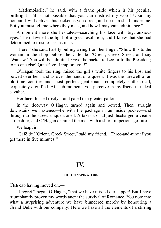"Mademoiselle," he said, with a frank pride which is his peculiar birthright—"it is not possible that you can mistrust my word! Upon my honour, I will deliver this packet as you direct, and no man shall hinder me. But you must tell me where they meet, and how I may gain admittance."

A moment more she hesitated—searching his face with big, anxious eyes. Then dawned the light of a great resolution; and I knew that she had determined to trust to her instincts.

"Here," she said, hastily pulling a ring from her finger. "Show this to the woman in the shop before the Café de l'Orient, Greek Street, and say 'Warsaw.' You will be admitted. Give the packet to Leo or to the President; to no one else! Quick! go, I implore you!"

O'Hagan took the ring, raised the girl's white fingers to his lips, and bowed over her hand as over the hand of a queen. It was the farewell of an old-time courtier and most perfect gentleman—completely untheatrical, exquisitely dignified. At such moments you perceive in my friend the ideal cavalier.

Her face flushed rosily—and paled to a greater pallor.

In the doorway O'Hagan turned again and bowed. Then, straight downstairs we hastened—he with the package in an inside pocket—and through to the street, unquestioned. A taxi-cab had just discharged a visitor at the door, and O'Hagan detained the man with a short, imperious gesture.

We leapt in.

"Café de l'Orient, Greek Street," said my friend. "Three-and-nine if you get there in five minutes!"

### **IV.**

—————

#### **THE CONSPIRATORS.**

THE cab having moved on,—

"I regret," began O'Hagan, "that we have missed our supper! But I have triumphantly proven my words anent the survival of Romance. You note into what a surprising adventure we have blundered merely by honouring a Grand Duke with our company! Here we have all the elements of a stirring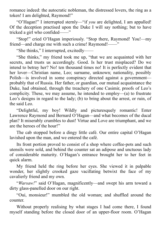romance indeed: the autocratic nobleman, the distressed lovers, the ring as a token! I am delighted, Raymond!"

"O'Hagan!" I interrupted sternly—"if *you* are delighted, I am appalled! Of the deception practised upon the Duke I will say nothing; but to have tricked a girl who confided——"

"Stop!" cried O'Hagan imperiously. "Stop there, Raymond! You!—my friend—and charge me with such a crime! Raymond!——"

"She thinks," I interrupted, excitedly——

"She thinks," my friend took me up, "that we are acquainted with her secrets, and trusts us accordingly. Good. Is her trust misplaced? Do we intend to betray her? No! ten thousand times no! It is perfectly evident that her lover—Christian name, Leo; surname, unknown; nationality, possibly Polish—is involved in some conspiracy directed against a government probably that of Russia. Her father, or guardian, our mutual acquaintance the Duke, had obtained, through the treachery of one Casimir, proofs of Leo's complicity. These, we may assume, he intended to employ—(a) to frustrate Leo's designs in regard to the lady; (b) to bring about the arrest, or ruin, of the said Leo.

"Delightful, my boy! Wildly and picturesquely romantic! Enter Lawrence Raymond and Bernard O'Hagan—and what becomes of the ducal plan? It miserably crumbles to dust! Virtue and Love are triumphant, and we are the heroes of the hour!"

The cab stopped before a dingy little café. Our entire capital O'Hagan lavished upon the man, and we entered the café.

Its front portion proved to consist of a shop where coffee-pots and such utensils were sold, and behind the counter sat an adipose and unctuous lady of considerable maturity. O'Hagan's entrance brought her to her feet in quick alarm.

My friend held the ring before her eyes. She viewed it in palpable wonder, her slightly crooked gaze vacillating betwixt the face of my cavalierly friend and my own.

"*Warsaw!*" said O'Hagan, magnificently—and swept his arm toward a dirty glass-panelled door on our right.

"Oui, monsieur!" mumbled the old woman; and shuffled around the counter.

Without properly realising by what stages I had come there, I found myself standing before the closed door of an upper-floor room. O'Hagan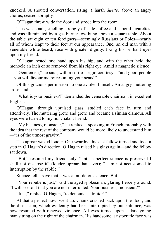knocked. A shouted conversation, rising, a harsh *duetto*, above an angry chorus, ceased abruptly.

O'Hagan threw wide the door and strode into the room.

This was small, smelling strongly of stale coffee and caporal cigarettes, and was illuminated by a gas burner low hung above a square table. About the table sat eight or ten foreigners—seemingly Russians or Poles—nearly all of whom leapt to their feet at our appearance. One, an old man with a venerable white beard, rose with greater dignity, fixing his brilliant eyes upon my friend.

O'Hagan rested one hand upon his hip, and with the other held the monocle an inch or so removed from his right eye. Amid a magnetic silence:

"Gentlemen," he said, with a sort of frigid courtesy—"and good people —you will favour me by resuming your seats!"

Of this gracious permission no one availed himself. An angry muttering arose, and—

"What is your business?" demanded the venerable chairman, in excellent English.

O'Hagan, through upraised glass, studied each face in turn and attentively. The muttering grew, and grew, and became a simian clamour. All eyes were turned to my nonchalant friend.

"My business, monsieur," he replied—speaking in French, probably with the idea that the rest of the company would be more likely to understand him —"is of the utmost gravity."

The uproar waxed louder. One swarthy, thickset fellow turned and took a step in O'Hagan's direction. O'Hagan raised his glass again—and the fellow sat down.

"But," resumed my friend icily, "until a perfect silence is preserved I shall not disclose it" (louder uproar than ever); "I am not accustomed to interruption by the rabble."

Silence fell—save that it was a murderous silence. But:

"Your rebuke is just," said the aged spokesman, glaring fiercely around. "I will see to it that you are not interrupted. Your business, monsieur?"

"It is," replied O'Hagan, "to denounce a traitor!"

At that a perfect howl went up. Chairs crashed back upon the floor; and the discussion, which evidently had been interrupted by our entrance, was now resumed with renewed violence. All eyes turned upon a dark young man sitting on the right of the chairman. His handsome, aristocratic face was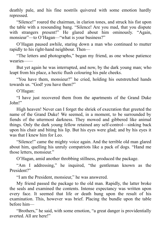deathly pale, and his fine nostrils quivered with some emotion hardly repressed.

"Silence!" roared the chairman, in clarion tones, and struck his fist upon the table with a resounding bang. "Silence! Are you mad, that you dispute with strangers present!" He glared about him ominously. "Again, monsieur"—to O'Hagan—"what is your business?"

O'Hagan paused awhile, staring down a man who continued to mutter rapidly to his right-hand neighbour. Then—

"The letters and photographs," began my friend, as one whose patience wearies——

But yet again he was interrupted, and now, by the dark young man; who leapt from his place, a hectic flush colouring his pale cheeks.

"You have them, monsieur?" he cried, holding his outstretched hands towards us. "God! you have them?"

O'Hagan:

"I have just recovered them from the apartments of the Grand Duke John!"

High heaven! Never can I forget the shriek of execration that greeted the name of the Grand Duke! We seemed, in a moment, to be surrounded by fiends of the uttermost darkness. They mowed and gibbered like animal things. Only the dark young fellow retained any self-control—sinking back upon his chair and biting his lip. But his eyes were glad; and by his eyes it was that I knew him for Leo.

"Silence!" came the mighty voice again. And the terrible old man glared about him, quelling his unruly compatriots like a pack of dogs. "Hand me those letters, monsieur."

O'Hagan, amid another throbbing stillness, produced the package.

"Am I addressing," he inquired, "the gentleman known as the President?"

"I am the President, monsieur," he was answered.

My friend passed the package to the old man. Rapidly, the latter broke the seals and examined the contents. Intense expectancy was written upon every face. It seemed that life or death hung upon the result of his examination. This, however was brief. Placing the bundle upon the table before him—

"Brothers," he said, with some emotion, "a great danger is providentially averted. All are here!"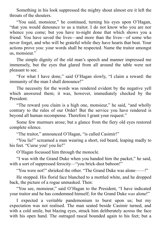Something in his look suppressed the mighty shout almost ere it left the throats of the shouters.

"You said, monsieur," he continued, turning his eyes upon O'Hagan, "that you would denounce to us a traitor. I do not know who you are nor whence you come; but you have to-night done that which shows you a friend. You have saved the lives—and more than the lives—of some who never forget, and who will be grateful while they have hearts that beat. Your actions prove you: your words shall be respected. Name the traitor amongst us, monsieur."

The simple dignity of the old man's speech and manner impressed me immensely, but the eyes that glared from all around the table were not pleasant to see.

"For what I have done," said O'Hagan slowly, "I claim a reward: the immunity of the man I shall denounce!"

The necessity for the words was rendered evident by the negative yell which answered them; it was, however, immediately checked by the President.

"The reward you claim is a high one, monsieur," he said, "and wholly contrary to the rules of our Order! But the service you have rendered is beyond all human recompense. Therefore I grant your request."

Some few murmurs arose; but a glance from the fiery old eyes restored complete silence.

"The traitor," announced O'Hagan, "is called Casimir!"

"You lie!" screamed a man wearing a short, red beard, leaping madly to his feet. "Curse you! you lie!"

O'Hagan focussed him through the monocle.

"I was with the Grand Duke when you handed him the packet," he said, with a sort of suppressed ferocity—"you brick-dust baboon!"

"You were not!" shrieked the other. "The Grand Duke was alone——!"

He stopped. His florid face blanched to a mottled white, and he dropped back, the picture of a rogue unmasked. Then:

"You see, monsieur," said O'Hagan to the President, "I have indicated your traitor and he has condemned himself; for the Grand Duke *was* alone!"

I expected a veritable pandemonium to burst upon us; but my expectation was not realised. The man seated beside Casimir turned, and with a cold smile, but blazing eyes, struck him deliberately across the face with his open hand. The outraged rascal bounded again to his feet; but a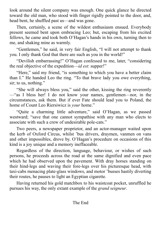look around the silent company was enough. One quick glance he directed toward the old man, who stood with finger rigidly pointed to the door, and, head bent, he shuffled past us—and was gone.

Then, certainly, a scene of the wildest enthusiasm ensued. Everybody present seemed bent upon embracing Leo; but, escaping from his excited fellows, he came and took both O'Hagan's hands in his own, turning then to me, and shaking mine as warmly.

"Gentlemen," he said, in very fair English, "I will not attempt to thank you. I only thank God that there are such as you in the world!"

"Devilish embarrassing!" O'Hagan confessed to me, later, "considering the real objective of the expedition—*id est*: supper!"

"Here," said my friend, "is something to which you have a better claim than I." He handed Leo the ring. "To that brave lady you owe everything, sir; to us, nothing."

"She will always bless you," said the other, kissing the ring reverently —"as I bless her! I do not know your names, gentlemen—nor, in the circumstances, ask them. But if ever Fate should lead you to Poland, the home of Count Leo Riersiwicz is *your* home."

"Quite a charming little adventure," said O'Hagan, as we passed westward; "save that one cannot sympathise with any man who elects to associate with such a crew of undesirable pole-cats."

Two peers, a newspaper proprietor, and an actor-manager waited upon the kerb of Oxford Circus, whilst 'bus drivers, draymen, vanmen on vans and other impossibles, drove by. O'Hagan's procedure on occasions of this kind is a joy unique and a memory ineffaceable.

Regardless of the direction, language, behaviour, or wishes of such persons, he proceeds across the road at the same dignified and even pace which he had observed upon the pavement. With dray horses standing on their hind-legs and waving their fore-legs over his picturesque head, with taxi-cabs menacing plate-glass windows, and motor 'busses hastily diverting their routes, he pauses to light an Egyptian cigarette.

Having returned his gold matchbox to his waistcoat pocket, unruffled he pursues his way, the only extant example of the *grand seigneur*.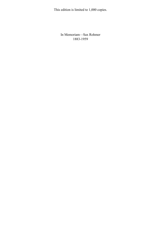This edition is limited to 1,000 copies.

In Memoriam—Sax Rohmer 1883-1959